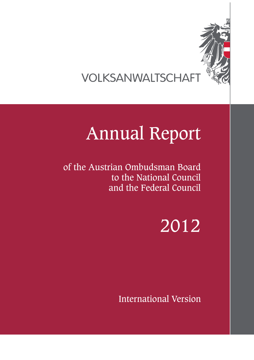

VOLKSANWALTSCHAFT

# Annual Report

of the Austrian Ombudsman Board to the National Council and the Federal Council

2012

International Version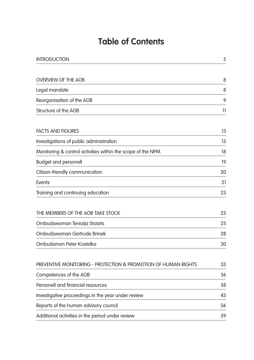# **Table of Contents**

| <b>INTRODUCTION</b>                                            | 5  |
|----------------------------------------------------------------|----|
|                                                                |    |
| <b>OVERVIEW OF THE AOB</b>                                     | 8  |
| Legal mandate                                                  | 8  |
| Reorganisation of the AOB                                      | 9  |
| Structure of the AOB                                           | 11 |
| <b>FACTS AND FIGURES</b>                                       | 13 |
| Investigations of public administration                        | 13 |
| Monitoring & control activities within the scope of the NPM    | 18 |
| <b>Budget and personell</b>                                    | 19 |
| Citizen-friendly communication                                 | 20 |
| <b>Events</b>                                                  | 21 |
| Training and continuing education                              | 23 |
| THE MEMBERS OF THE AOB TAKE STOCK                              | 25 |
| Ombudswoman Terezija Stoisits                                  | 25 |
| Ombudswoman Gertrude Brinek                                    | 28 |
| Ombudsman Peter Kostelka                                       | 30 |
| PREVENTIVE MONITORING - PROTECTION & PROMOTION OF HUMAN RIGHTS | 33 |
| Competences of the AOB                                         | 36 |
| Personell and financial resources                              | 38 |
| Investigative proceedings in the year under review             | 43 |
| Reports of the human advisory council                          | 56 |
| Additional activities in the period under review               | 59 |
|                                                                |    |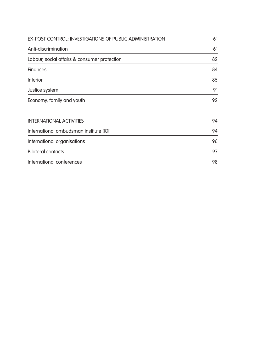| <b>EX-POST CONTROL: INVESTIGATIONS OF PUBLIC ADMINISTRATION</b> | 61 |
|-----------------------------------------------------------------|----|
| Anti-discrimination                                             | 61 |
| Labour, social affairs & consumer protection                    | 82 |
| <b>Finances</b>                                                 | 84 |
| <b>Interior</b>                                                 | 85 |
| Justice system                                                  | 91 |
| Economy, family and youth                                       | 92 |
| <b>INTERNATIONAL ACTIVITIES</b>                                 | 94 |
| International ombudsman institute (IOI)                         | 94 |
| International organisations                                     | 96 |

Bilateral contacts **97** 

International conferences 98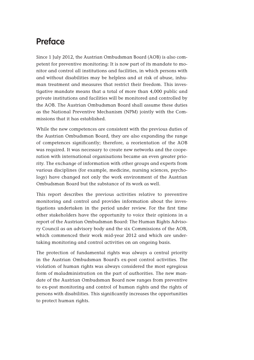# **Preface**

Since 1 July 2012, the Austrian Ombudsman Board (AOB) is also competent for preventive monitoring: It is now part of its mandate to monitor and control all institutions and facilities, in which persons with and without disabilities may be helpless and at risk of abuse, inhuman treatment and measures that restrict their freedom. This investigative mandate means that a total of more than 4,000 public and private institutions and facilities will be monitored and controlled by the AOB. The Austrian Ombudsman Board shall assume these duties as the National Preventive Mechanism (NPM) jointly with the Commissions that it has established.

While the new competences are consistent with the previous duties of the Austrian Ombudsman Board, they are also expanding the range of competences significantly; therefore, a reorientation of the AOB was required. It was necessary to create new networks and the cooperation with international organisations became an even greater priority. The exchange of information with other groups and experts from various disciplines (for example, medicine, nursing sciences, psychology) have changed not only the work environment of the Austrian Ombudsman Board but the substance of its work as well.

This report describes the previous activities relative to preventive monitoring and control and provides information about the investigations undertaken in the period under review. For the first time other stakeholders have the opportunity to voice their opinions in a report of the Austrian Ombudsman Board: The Human Rights Advisory Council as an advisory body and the six Commissions of the AOB, which commenced their work mid-year 2012 and which are undertaking monitoring and control activities on an ongoing basis.

The protection of fundamental rights was always a central priority in the Austrian Ombudsman Board's ex-post control activities. The violation of human rights was always considered the most egregious form of maladministration on the part of authorities. The new mandate of the Austrian Ombudsman Board now ranges from preventive to ex-post monitoring and control of human rights and the rights of persons with disabilities. This significantly increases the opportunities to protect human rights.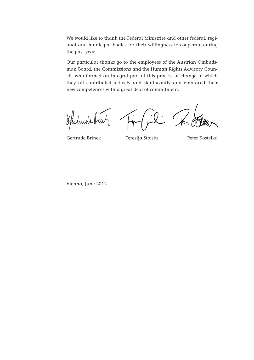We would like to thank the Federal Ministries and other federal, regional and municipal bodies for their willingness to cooperate during the past year.

Our particular thanks go to the employees of the Austrian Ombudsman Board, the Commissions and the Human Rights Advisory Council, who formed an integral part of this process of change to which they all contributed actively and significantly and embraced their new competences with a great deal of commitment.

Spilinde Baut

to Odlew

Gertrude Brinek Terezija Stoisits Peter Kostelka

Vienna, June 2012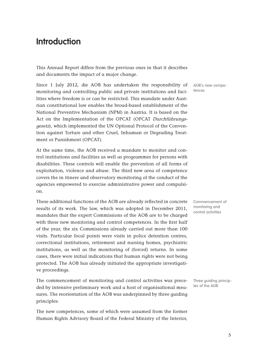# **Introduction**

This Annual Report differs from the previous ones in that it describes and documents the impact of a major change.

Since 1 July 2012, die AOB has undertaken the responsibility of monitoring and controlling public and private institutions and facilities where freedom is or can be restricted. This mandate under Austrian constitutional law enables the broad-based establishment of the National Preventive Mechanism (NPM) in Austria. It is based on the Act on the Implementation of the OPCAT (OPCAT Durchführungsgesetz), which implemented the UN Optional Protocol of the Convention against Torture and other Cruel, Inhuman or Degrading Treatment or Punishment (OPCAT).

At the same time, the AOB received a mandate to monitor and control institutions and facilities as well as programmes for persons with disabilities. These controls will enable the prevention of all forms of exploitation, violence and abuse. The third new area of competence covers the in itinere and observatory monitoring of the conduct of the agencies empowered to exercise administrative power and compulsion.

These additional functions of the AOB are already reflected in concrete results of its work. The law, which was adopted in December 2011, mandates that the expert Commissions of the AOB are to be charged with these new monitoring and control competences. In the first half of the year, the six Commissions already carried out more than 100 visits. Particular focal points were visits in police detention centres, correctional institutions, retirement and nursing homes, psychiatric institutions, as well as the monitoring of (forced) returns. In some cases, there were initial indications that human rights were not being protected. The AOB has already initiated the appropriate investigative proceedings.

The commencement of monitoring and control activities was preceded by intensive preliminary work and a host of organisational measures. The reorientation of the AOB was underpinned by three guiding principles:

The new competences, some of which were assumed from the former Human Rights Advisory Board of the Federal Ministry of the Interior, AOB's new competences

Commencement of monitoring and control activities

Three guiding principles of the AOB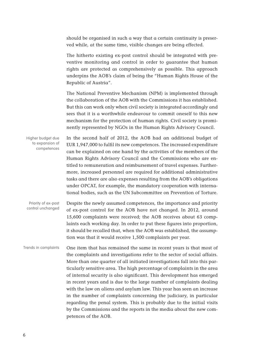should be organised in such a way that a certain continuity is preserved while, at the same time, visible changes are being effected.

The hitherto existing ex-post control should be integrated with preventive monitoring and control in order to guarantee that human rights are protected as comprehensively as possible. This approach underpins the AOB's claim of being the "Human Rights House of the Republic of Austria".

The National Preventive Mechanism (NPM) is implemented through the collaboration of the AOB with the Commissions it has established. But this can work only when civil society is integrated accordingly and sees that it is a worthwhile endeavour to commit oneself to this new mechanism for the protection of human rights. Civil society is prominently represented by NGOs in the Human Rights Advisory Council.

In the second half of 2012, the AOB had an additional budget of EUR 1,947,000 to fulfil its new competences. The increased expenditure can be explained on one hand by the activities of the members of the Human Rights Advisory Council and the Commissions who are entitled to remuneration and reimbursement of travel expenses. Furthermore, increased personnel are required for additional administrative tasks and there are also expenses resulting from the AOB's obligations under OPCAT, for example, the mandatory cooperation with international bodies, such as the UN Subcommittee on Prevention of Torture. Higher budget due to expansion of competences

Despite the newly assumed competences, the importance and priority of ex-post control for the AOB have not changed. In 2012, around 15,600 complaints were received; the AOB receives about 63 complaints each working day. In order to put these figures into proportion, it should be recalled that, when the AOB was established, the assumption was that it would receive 1,500 complaints per year. Priority of ex-post control unchanged

One item that has remained the same in recent years is that most of the complaints and investigations refer to the sector of social affairs. More than one quarter of all initiated investigations fall into this particularly sensitive area. The high percentage of complaints in the area of internal security is also significant. This development has emerged in recent years and is due to the large number of complaints dealing with the law on aliens and asylum law. This year has seen an increase in the number of complaints concerning the judiciary, in particular regarding the penal system. This is probably due to the initial visits by the Commissions and the reports in the media about the new competences of the AOB. Trends in complaints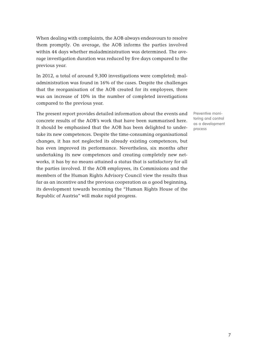When dealing with complaints, the AOB always endeavours to resolve them promptly. On average, the AOB informs the parties involved within 44 days whether maladministration was determined. The average investigation duration was reduced by five days compared to the previous year.

In 2012, a total of around 9,300 investigations were completed; maladministration was found in 16% of the cases. Despite the challenges that the reorganisation of the AOB created for its employees, there was an increase of 10% in the number of completed investigations compared to the previous year.

The present report provides detailed information about the events and concrete results of the AOB's work that have been summarised here. It should be emphasised that the AOB has been delighted to undertake its new competences. Despite the time-consuming organisational changes, it has not neglected its already existing competences, but has even improved its performance. Nevertheless, six months after undertaking its new competences and creating completely new networks, it has by no means attained a status that is satisfactory for all the parties involved. If the AOB employees, its Commissions and the members of the Human Rights Advisory Council view the results thus far as an incentive and the previous cooperation as a good beginning, its development towards becoming the "Human Rights House of the Republic of Austria" will make rapid progress.

Preventive monitoring and control as a development process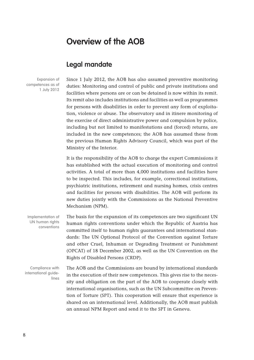## **Overview of the AOB**

#### **Legal mandate**

Expansion of competences as of 1 July 2012

Since 1 July 2012, the AOB has also assumed preventive monitoring duties: Monitoring and control of public and private institutions and facilities where persons are or can be detained is now within its remit. Its remit also includes institutions and facilities as well as programmes for persons with disabilities in order to prevent any form of exploitation, violence or abuse. The observatory and in itinere monitoring of the exercise of direct administrative power and compulsion by police, including but not limited to manifestations and (forced) returns, are included in the new competences; the AOB has assumed these from the previous Human Rights Advisory Council, which was part of the Ministry of the Interior.

It is the responsibility of the AOB to charge the expert Commissions it has established with the actual execution of monitoring and control activities. A total of more than 4,000 institutions and facilities have to be inspected. This includes, for example, correctional institutions, psychiatric institutions, retirement and nursing homes, crisis centres and facilities for persons with disabilities. The AOB will perform its new duties jointly with the Commissions as the National Preventive Mechanism (NPM).

The basis for the expansion of its competences are two significant UN human rights conventions under which the Republic of Austria has committed itself to human rights guarantees and international standards: The UN Optional Protocol of the Convention against Torture and other Cruel, Inhuman or Degrading Treatment or Punishment (OPCAT) of 18 December 2002, as well as the UN Convention on the Rights of Disabled Persons (CRDP). Implementation of UN human rights conventions

Compliance with international guidelines

The AOB and the Commissions are bound by international standards in the execution of their new competences. This gives rise to the necessity and obligation on the part of the AOB to cooperate closely with international organisations, such as the UN Subcommittee on Prevention of Torture (SPT). This cooperation will ensure that experience is shared on an international level. Additionally, the AOB must publish an annual NPM Report and send it to the SPT in Geneva.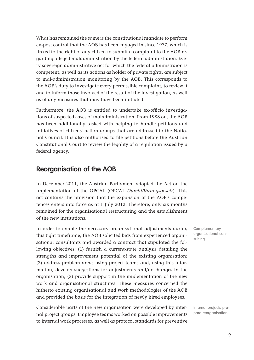What has remained the same is the constitutional mandate to perform ex-post control that the AOB has been engaged in since 1977, which is linked to the right of any citizen to submit a complaint to the AOB regarding alleged maladministration by the federal administraion. Every sovereign administrative act for which the federal administraion is competent, as well as its actions as holder of private rights, are subject to mal-administration monitoring by the AOB. This corresponds to the AOB's duty to investigate every permissible complaint, to review it and to inform those involved of the result of the investigation, as well as of any measures that may have been initiated.

Furthermore, the AOB is entitled to undertake ex-officio investigations of suspected cases of maladministration. From 1988 on, the AOB has been additionally tasked with helping to handle petitions and initiatives of citizens' action groups that are addressed to the National Council. It is also authorised to file petitions before the Austrian Constitutional Court to review the legality of a regulation issued by a federal agency.

#### **Reorganisation of the AOB**

In December 2011, the Austrian Parliament adopted the Act on the Implementation of the OPCAT (OPCAT Durchführungsgesetz). This act contains the provision that the expansion of the AOB's competences enters into force as at 1 July 2012. Therefore, only six months remained for the organisational restructuring and the establishment of the new institutions.

In order to enable the necessary organisational adjustments during this tight timeframe, the AOB solicited bids from experienced organisational consultants and awarded a contract that stipulated the following objectives: (1) furnish a current-state analysis detailing the strengths and improvement potential of the existing organisation; (2) address problem areas using project teams and, using this information, develop suggestions for adjustments and/or changes in the organisation; (3) provide support in the implementation of the new work and organisational structures. These measures concerned the hitherto existing organisational and work methodologies of the AOB and provided the basis for the integration of newly hired employees.

Considerable parts of the new organisation were developed by internal project groups. Employee teams worked on possible improvements to internal work processes, as well as protocol standards for preventive

**Complementary** organisational consulting

Internal projects prepare reorganisation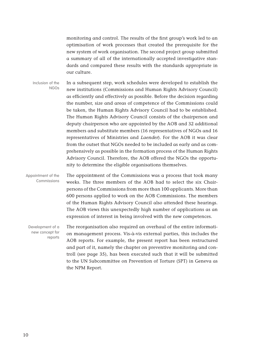monitoring and control. The results of the first group's work led to an optimisation of work processes that created the prerequisite for the new system of work organisation. The second project group submitted a summary of all of the internationally accepted investigative standards and compared these results with the standards appropriate in our culture.

In a subsequent step, work schedules were developed to establish the new institutions (Commissions and Human Rights Advisory Council) as efficiently and effectively as possible. Before the decision regarding the number, size and areas of competence of the Commissions could be taken, the Human Rights Advisory Council had to be established. The Human Rights Advisory Council consists of the chairperson and deputy chairperson who are appointed by the AOB and 32 additional members and substitute members (16 representatives of NGOs and 16 representatives of Ministries and Laender). For the AOB it was clear from the outset that NGOs needed to be included as early and as comprehensively as possible in the formation process of the Human Rights Advisory Council. Therefore, the AOB offered the NGOs the opportunity to determine the eligible organisations themselves. Inclusion of the NGOs

The appointment of the Commissions was a process that took many weeks. The three members of the AOB had to select the six Chairpersons of the Commissions from more than 100 applicants. More than 600 persons applied to work on the AOB Commissions. The members of the Human Rights Advisory Council also attended these hearings. The AOB views this unexpectedly high number of applications as an expression of interest in being involved with the new competences. Appointment of the Commissions

The reorganisation also required an overhaul of the entire information management process. Vis-à-vis external parties, this includes the AOB reports. For example, the present report has been restructured and part of it, namely the chapter on preventive monitoring and controll (see page 35), has been executed such that it will be submitted to the UN Subcommittee on Prevention of Torture (SPT) in Geneva as the NPM Report. Development of a new concept for reports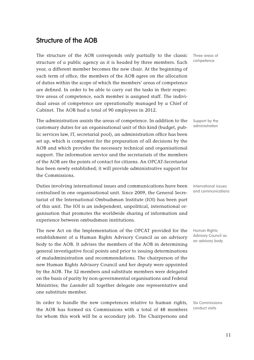## **Structure of the AOB**

The structure of the AOB corresponds only partially to the classic structure of a public agency as it is headed by three members. Each year, a different member becomes the new chair. At the beginning of each term of office, the members of the AOB agree on the allocation of duties within the scope of which the members' areas of competence are defined. In order to be able to carry out the tasks in their respective areas of competence, each member is assigned staff. The individual areas of competence are operationally managed by a Chief of Cabinet. The AOB had a total of 90 employees in 2012.

The administration assists the areas of competence. In addition to the customary duties for an organisational unit of this kind (budget, public services law, IT, secretarial pool), an administration office has been set up, which is competent for the preparation of all decisions by the AOB and which provides the necessary technical and organisational support. The information service and the secretariats of the members of the AOB are the points of contact for citizens. An OPCAT-Secretariat has been newly established; it will provide administrative support for the Commissions.

Duties involving international issues and communications have been centralised in one organisational unit. Since 2009, the General Secretariat of the International Ombudsman Institute (IOI) has been part of this unit. The IOI is an independent, unpolitical, international organisation that promotes the worldwide sharing of information and experience between ombudsman institutions.

The new Act on the Implementation of the OPCAT provided for the establishment of a Human Rights Advisory Council as an advisory body to the AOB. It advises the members of the AOB in determining general investigative focal points and prior to issuing determinations of maladministration and recommendations. The chairperson of the new Human Rights Advisory Council and her deputy were appointed by the AOB. The 32 members and substitute members were delegated on the basis of parity by non-governmental organisations and Federal Ministries; the Laender all together delegate one representative and one substitute member.

In order to handle the new competences relative to human rights, the AOB has formed six Commissions with a total of 48 members for whom this work will be a secondary job. The Chairpersons and

Three areas of competence

Support by the administration

International issues and communications

Human Rights Advisory Council as an advisory body

Six Commissions conduct visits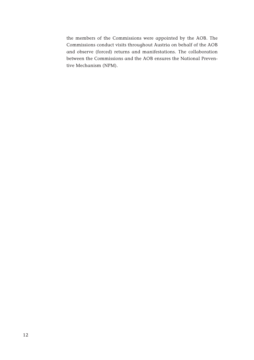the members of the Commissions were appointed by the AOB. The Commissions conduct visits throughout Austria on behalf of the AOB and observe (forced) returns and manifestations. The collaboration between the Commissions and the AOB ensures the National Preventive Mechanism (NPM).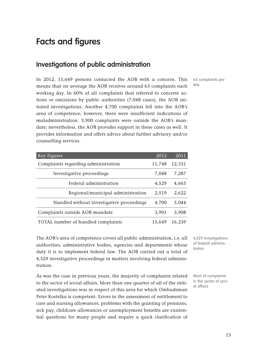# **Facts and figures**

## **Investigations of public administration**

63 complaints per day

In 2012, 15,649 persons contacted the AOB with a concern. This means that on average the AOB receives around 63 complaints each working day. In 60% of all complaints that referred to concrete actions or omissions by public authorities (7,048 cases), the AOB initiated investigations. Another 4,700 complaints fell into the AOB's area of competence; however, there were insufficient indications of maladministration. 3,900 complaints were outside the AOB's mandate; nevertheless, the AOB provides support in these cases as well. It provides information and offers advice about further advisory and/or counselling services.

| Key Figures                               | 2012   | 2011   |
|-------------------------------------------|--------|--------|
| Complaints regarding administration       | 11,748 | 12,331 |
| Investigative proceedings                 | 7,048  | 7,287  |
| Federal administration                    | 4,529  | 4,665  |
| Regional/municipal administration         | 2,519  | 2,622  |
| Handled without investigative proceedings | 4,700  | 5,044  |
| Complaints outside AOB mandate            | 3,901  | 3,908  |
| TOTAL number of handled complaints        | 15.649 | 16,239 |

The AOB's area of competence covers all public administration, i.e. all authorities, administrative bodies, agencies and departments whose duty it is to implement federal law. The AOB carried out a total of 4,529 investigative proceedings in matters involving federal administration.

As was the case in previous years, the majority of complaints related to the sector of social affairs. More than one quarter of all of the initiated investigations was in respect of this area for which Ombudsman Peter Kostelka is competent. Errors in the assessment of entitlement to care and nursing allowances, problems with the granting of pensions, sick pay, childcare allowances or unemployment benefits are existential questions for many people and require a quick clarification of 4,529 investigations of federal administration

Most of complaints in the sector of social affairs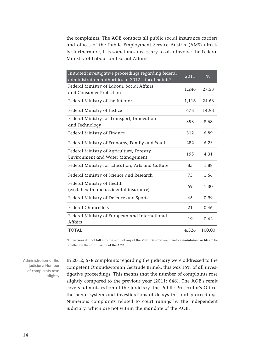the complaints. The AOB contacts all public social insurance carriers and offices of the Public Employment Service Austria (AMS) directly; furthermore, it is sometimes necessary to also involve the Federal Ministry of Labour and Social Affairs.

| TOTAL                                                                                                       | 4,526 | 100.00 |
|-------------------------------------------------------------------------------------------------------------|-------|--------|
| Federal Ministry of European and International<br><b>Affairs</b>                                            | 19    | 0.42   |
| <b>Federal Chancellery</b>                                                                                  | 21    | 0.46   |
| Federal Ministry of Defence and Sports                                                                      | 45    | 0.99   |
| Federal Ministry of Health<br>(excl. health and accidental insurance)                                       | 59    | 1.30   |
| Federal Ministry of Science and Research                                                                    | 75    | 1.66   |
| Federal Ministry for Education, Arts and Culture                                                            | 85    | 1.88   |
| Federal Ministry of Agriculture, Forestry,<br><b>Environment and Water Management</b>                       | 195   | 4.31   |
| Federal Ministry of Economy, Family and Youth                                                               | 282   | 6.23   |
| Federal Ministry of Finance                                                                                 | 312   | 6.89   |
| Federal Ministry for Transport, Innovation<br>and Technology                                                | 393   | 8.68   |
| Federal Ministry of Justice                                                                                 | 678   | 14.98  |
| Federal Ministry of the Interior                                                                            | 1,116 | 24.66  |
| Federal Ministry of Labour, Social Affairs<br>and Consumer Protection                                       | 1,246 | 27.53  |
| Initiated investigative proceedings regarding federal<br>administration authorities in 2012 - focal points* | 2011  | $\%$   |

\*Three cases did not fall into the remit of any of the Ministries and are therefore maintained as files to be handled by the Chairperson of the AOB

Administration of the judiciary: Number of complaints rose slightly

In 2012, 678 complaints regarding the judiciary were addressed to the competent Ombudswoman Gertrude Brinek; this was 15% of all investigative proceedings. This means that the number of complaints rose slightly compared to the previous year (2011: 646). The AOB's remit covers administration of the judiciary, the Public Prosecutor's Office, the penal system and investigations of delays in court proceedings. Numerous complaints related to court rulings by the independent judiciary, which are not within the mandate of the AOB.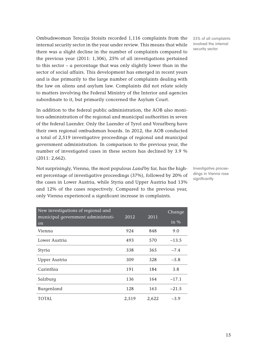Ombudswoman Terezija Stoisits recorded 1,116 complaints from the 25% of all complaints internal security sector in the year under review. This means that while there was a slight decline in the number of complaints compared to the previous year (2011: 1,306), 25% of all investigations pertained to this sector – a percentage that was only slightly lower than in the sector of social affairs. This development has emerged in recent years and is due primarily to the large number of complaints dealing with the law on aliens and asylum law. Complaints did not relate solely to matters involving the Federal Ministry of the Interior and agencies subordinate to it, but primarily concerned the Asylum Court.

In addition to the federal public administration, the AOB also monitors administration of the regional and municipal authorities in seven of the federal Laender. Only the Laender of Tyrol and Vorarlberg have their own regional ombudsman boards. In 2012, the AOB conducted a total of 2,519 investigative proceedings of regional and municipal government administration. In comparison to the previous year, the number of investigated cases in these sectors has declined by 3.9 % (2011: 2,662).

Not surprisingly, Vienna, the most populous Land by far, has the highest percentage of investigative proceedings (37%), followed by 20% of the cases in Lower Austria, while Styria and Upper Austria had 13% and 12% of the cases respectively. Compared to the previous year, only Vienna experienced a significant increase in complaints.

| New investigations of regional and       |       |       | Change                   |
|------------------------------------------|-------|-------|--------------------------|
| municipal government administrati-<br>on | 2012  | 2011  | $\overline{\text{in}}$ % |
| Vienna                                   | 924   | 848   | 9.0                      |
| Lower Austria                            | 493   | 570   | $-13.5$                  |
| Styria                                   | 338   | 365   | $-7.4$                   |
| <b>Upper Austria</b>                     | 309   | 328   | $-5.8$                   |
| Carinthia                                | 191   | 184   | 3.8                      |
| Salzburg                                 | 136   | 164   | $-17.1$                  |
| Burgenland                               | 128   | 163   | $-21.5$                  |
| TOTAL                                    | 2,519 | 2,622 | $-3.9$                   |

involved the internal security sector

Investigative proceedings in Vienna rose significantly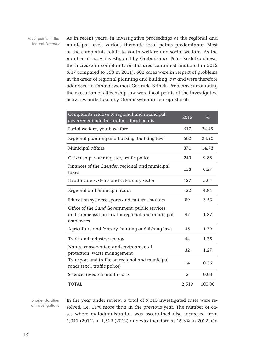Focal points in the federal Laender

As in recent years, in investigative proceedings at the regional and municipal level, various thematic focal points predominate: Most of the complaints relate to youth welfare and social welfare. As the number of cases investigated by Ombudsman Peter Kostelka shows, the increase in complaints in this area continued unabated in 2012 (617 compared to 558 in 2011). 602 cases were in respect of problems in the areas of regional planning and building law and were therefore addressed to Ombudswoman Gertrude Brinek. Problems surrounding the execution of citizenship law were focal points of the investigative activities undertaken by Ombudswoman Terezija Stoisits

| Complaints relative to regional and municipal<br>government administration - focal points                      | 2012  | $\%$   |
|----------------------------------------------------------------------------------------------------------------|-------|--------|
| Social welfare, youth welfare                                                                                  | 617   | 24.49  |
| Regional planning and housing, building law                                                                    | 602   | 23.90  |
| Municipal affairs                                                                                              | 371   | 14.73  |
| Citizenship, voter register, traffic police                                                                    | 249   | 9.88   |
| Finances of the Laender, regional and municipal<br>taxes                                                       | 158   | 6.27   |
| Health care systems and veterinary sector                                                                      | 127   | 5.04   |
| Regional and municipal roads                                                                                   | 122   | 4.84   |
| Education systems, sports and cultural matters                                                                 | 89    | 3.53   |
| Office of the Land Government, public services<br>and compensation law for regional and municipal<br>employees | 47    | 1.87   |
| Agriculture and forestry, hunting and fishing laws                                                             | 45    | 1.79   |
| Trade and industry; energy                                                                                     | 44    | 1.75   |
| Nature conservation and environmental<br>protection, waste management                                          | 32    | 1.27   |
| Transport and traffic on regional and municipal<br>roads (excl. traffic police)                                | 14    | 0.56   |
| Science, research and the arts                                                                                 | 2     | 0.08   |
| <b>TOTAL</b>                                                                                                   | 2,519 | 100.00 |

Shorter duration of investigations In the year under review, a total of 9,315 investigated cases were resolved, i.e. 11% more than in the previous year. The number of cases where maladministration was ascertained also increased from 1,041 (2011) to 1,519 (2012) and was therefore at 16.3% in 2012. On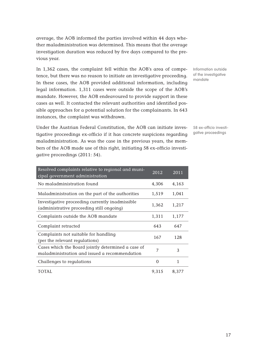average, the AOB informed the parties involved within 44 days whether maladministration was determined. This means that the average investigation duration was reduced by five days compared to the previous year.

In 1,362 cases, the complaint fell within the AOB's area of competence, but there was no reason to initiate an investigative proceeding. In these cases, the AOB provided additional information, including legal information. 1,311 cases were outside the scope of the AOB's mandate. However, the AOB endeavoured to provide support in these cases as well. It contacted the relevant authorities and identified possible approaches for a potential solution for the complainants. In 643 instances, the complaint was withdrawn.

Under the Austrian Federal Constitution, the AOB can initiate investigative proceedings ex-officio if it has concrete suspicions regarding maladministration. As was the case in the previous years, the members of the AOB made use of this right, initiating 58 ex-officio investigative proceedings (2011: 54).

| Resolved complaints relative to regional and muni-<br>cipal government administration               | 2012     | 2011  |
|-----------------------------------------------------------------------------------------------------|----------|-------|
| No maladministration found                                                                          | 4,306    | 4,163 |
| Maladministration on the part of the authorities                                                    | 1,519    | 1,041 |
| Investigative proceeding currently inadmissible<br>(administrative proceeding still ongoing)        | 1,362    | 1,217 |
| Complaints outside the AOB mandate                                                                  | 1,311    | 1,177 |
| Complaint retracted                                                                                 | 643      | 647   |
| Complaints not suitable for handling<br>(per the relevant requlations)                              | 167      | 128   |
| Cases which the Board jointly determined a case of<br>maladministration and issued a recommendation | 7        | 3     |
| Challenges to regulations                                                                           | $\Omega$ | 1     |
| TOTAL                                                                                               | 9,315    | 8,377 |

Information outside of the investigative mandate

58 ex-officio investigative proceedings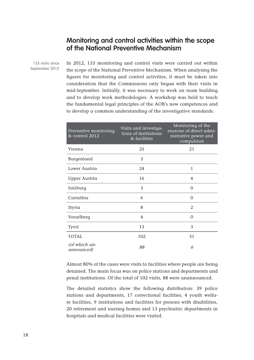#### **Monitoring and control activities within the scope of the National Preventive Mechanism**

133 visits since September 2012 In 2012, 133 monitoring and control visits were carried out within the scope of the National Preventive Mechanism. When analysing the figures for monitoring and control activities, it must be taken into consideration that the Commissions only began with their visits in mid-September. Initially, it was necessary to work on team building and to develop work methodologies. A workshop was held to teach the fundamental legal principles of the AOB's new competences and to develop a common understanding of the investigative standards.

| Preventive monitoring<br>& control 2012 | Visits and investiga-<br>tions of institutions<br>& facilities | Monitoring of the<br>exercise of direct admi-<br>nistrative power and<br>compulsion |
|-----------------------------------------|----------------------------------------------------------------|-------------------------------------------------------------------------------------|
| Vienna                                  | 25                                                             | 21                                                                                  |
| Burgenland                              | 3                                                              |                                                                                     |
| Lower Austria                           | 24                                                             | $\mathbf{1}$                                                                        |
| <b>Upper Austria</b>                    | 16                                                             | 4                                                                                   |
| Salzburg                                | 3                                                              | $\Omega$                                                                            |
| Carinthia                               | 6                                                              | 0                                                                                   |
| Styria                                  | 8                                                              | $\overline{2}$                                                                      |
| Vorarlberg                              | 4                                                              | 0                                                                                   |
| <b>Tyrol</b>                            | 13                                                             | 3                                                                                   |
| <b>TOTAL</b>                            | 102                                                            | 31                                                                                  |
| (of which un-<br>announced)             | 88                                                             | 6                                                                                   |

Almost 80% of the cases were visits to facilities where people are being detained. The main focus was on police stations and departments and penal institutions. Of the total of 102 visits, 88 were unannounced.

The detailed statistics show the following distribution: 39 police stations and departments, 17 correctional facilities, 4 youth welfare facilities, 9 institutions and facilities for persons with disabilities, 20 retirement and nursing homes and 13 psychiatric departments in hospitals and medical facilities were visited.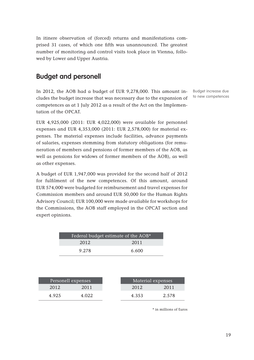In itinere observation of (forced) returns and manifestations comprised 31 cases, of which one fifth was unannounced. The greatest number of monitoring and control visits took place in Vienna, followed by Lower and Upper Austria.

## **Budget and personell**

In 2012, the AOB had a budget of EUR 9,278,000. This amount includes the budget increase that was necessary due to the expansion of competences as at 1 July 2012 as a result of the Act on the Implementation of the OPCAT.

Budget increase due to new competences

EUR 4,925,000 (2011: EUR 4,022,000) were available for personnel expenses and EUR 4,353,000 (2011: EUR 2,578,000) for material expenses. The material expenses include facilities, advance payments of salaries, expenses stemming from statutory obligations (for remuneration of members and pensions of former members of the AOB, as well as pensions for widows of former members of the AOB), as well as other expenses.

A budget of EUR 1,947,000 was provided for the second half of 2012 for fulfilment of the new competences. Of this amount, around EUR 574,000 were budgeted for reimbursement and travel expenses for Commission members and around EUR 50,000 for the Human Rights Advisory Council; EUR 100,000 were made available for workshops for the Commissions, the AOB staff employed in the OPCAT section and expert opinions.

| Federal budget estimate of the AOB* |       |
|-------------------------------------|-------|
| 2012                                | 2011  |
| 9.278                               | 6.600 |

|       | Personell expenses | Material expenses |       |
|-------|--------------------|-------------------|-------|
| 2012  | 2011               | 2012              | 2011  |
| 4.925 | 4 022              | 4.353             | 2.578 |

\* in millions of Euros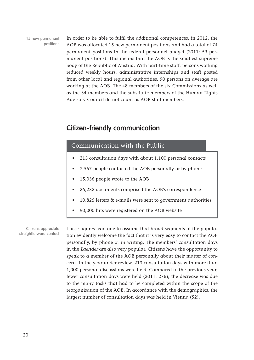15 new permanent positions

In order to be able to fulfil the additional competences, in 2012, the AOB was allocated 15 new permanent positions and had a total of 74 permanent positions in the federal personnel budget (2011: 59 permanent positions). This means that the AOB is the smallest supreme body of the Republic of Austria. With part-time staff, persons working reduced weekly hours, administrative internships and staff posted from other local and regional authorities, 90 persons on average are working at the AOB. The 48 members of the six Commissions as well as the 34 members and the substitute members of the Human Rights Advisory Council do not count as AOB staff members.

## **Citizen-friendly communication**

#### Communication with the Public

- 213 consultation days with about 1,100 personal contacts
- 7,567 people contacted the AOB personally or by phone
- 15,036 people wrote to the AOB
- 26,232 documents comprised the AOB's correspondence
- 10,825 letters  $\&$  e-mails were sent to government authorities
- 90,000 hits were registered on the AOB website

Citizens appreciate straightforward contact

These figures lead one to assume that broad segments of the population evidently welcome the fact that it is very easy to contact the AOB personally, by phone or in writing. The members' consultation days in the Laender are also very popular. Citizens have the opportunity to speak to a member of the AOB personally about their matter of concern. In the year under review, 213 consultation days with more than 1,000 personal discussions were held. Compared to the previous year, fewer consultation days were held (2011: 276); the decrease was due to the many tasks that had to be completed within the scope of the reorganisation of the AOB. In accordance with the demographics, the largest number of consultation days was held in Vienna (52).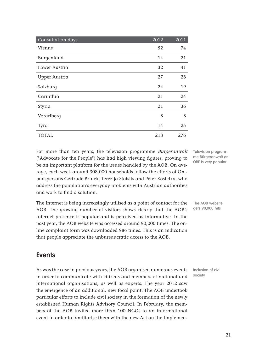| Consultation days    | 2012 | 2011 |
|----------------------|------|------|
| Vienna               | 52   | 74   |
| Burgenland           | 14   | 21   |
| Lower Austria        | 32   | 41   |
| <b>Upper Austria</b> | 27   | 28   |
| Salzburg             | 24   | 19   |
| Carinthia            | 21   | 24   |
| Styria               | 21   | 36   |
| Vorarlberg           | 8    | 8    |
| <b>Tyrol</b>         | 14   | 25   |
| TOTAL                | 213  | 276  |

For more than ten years, the television programme *Bürgeranwalt* Televisionprogram-("Advocate for the People") has had high viewing figures, proving to be an important platform for the issues handled by the AOB. On average, each week around 308,000 households follow the efforts of Ombudspersons Gertrude Brinek, Terezija Stoisits and Peter Kostelka, who address the population's everyday problems with Austrian authorities and work to find a solution.

The Internet is being increasingly utilised as a point of contact for the AOB. The growing number of visitors shows clearly that the AOB's Internet presence is popular and is perceived as informative. In the past year, the AOB website was accessed around 90,000 times. The online complaint form was downloaded 986 times. This is an indication that people appreciate the unbureaucratic access to the AOB.

me Bürgeranwalt on ORF is very popular

The AOB website gets 90,000 hits

## **Events**

As was the case in previous years, the AOB organised numerous events in order to communicate with citizens and members of national and international organisations, as well as experts. The year 2012 saw the emergence of an additional, new focal point: The AOB undertook particular efforts to include civil society in the formation of the newly established Human Rights Advisory Council. In February, the members of the AOB invited more than 100 NGOs to an informational event in order to familiarise them with the new Act on the Implemen-

Inclusion of civil society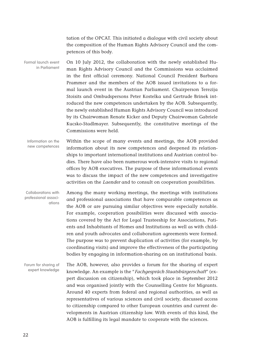tation of the OPCAT. This initiated a dialogue with civil society about the composition of the Human Rights Advisory Council and the competences of this body.

On 10 July 2012, the collaboration with the newly established Human Rights Advisory Council and the Commissions was acclaimed in the first official ceremony. National Council President Barbara Prammer and the members of the AOB issued invitations to a formal launch event in the Austrian Parliament. Chairperson Terezija Stoisits and Ombudspersons Peter Kostelka und Gertrude Brinek introduced the new competences undertaken by the AOB. Subsequently, the newly established Human Rights Advisory Council was introduced by its Chairwoman Renate Kicker and Deputy Chairwoman Gabriele Kucsko-Stadlmayer. Subsequently, the constitutive meetings of the Commissions were held. Formal launch event in Parliament

Within the scope of many events and meetings, the AOB provided information about its new competences and deepened its relationships to important international institutions and Austrian control bodies. There have also been numerous work-intensive visits to regional offices by AOB executives. The purpose of these informational events was to discuss the impact of the new competences and investigative activities on the Laender and to consult on cooperation possibilities. Information on the new competences

Among the many working meetings, the meetings with institutions and professional associations that have comparable competences as the AOB or are pursuing similar objectives were especially notable. For example, cooperation possibilities were discussed with associations covered by the Act for Legal Trusteeship for Associations, Patients and Inhabitants of Homes and Institutions as well as with children and youth advocates and collaboration agreements were formed. The purpose was to prevent duplication of activities (for example, by coordinating visits) and improve the effectiveness of the participating bodies by engaging in information-sharing on an institutional basis. Collaborations with professional associations

The AOB, however, also provides a forum for the sharing of expert knowledge. An example is the "Fachgespräch Staatsbürgerschaft" (expert discussion on citizenship), which took place in September 2012 and was organised jointly with the Counselling Centre for Migrants. Around 40 experts from federal and regional authorities, as well as representatives of various sciences and civil society, discussed access to citizenship compared to other European countries and current developments in Austrian citizenship law. With events of this kind, the AOB is fulfilling its legal mandate to cooperate with the sciences. Forum for sharing of expert knowledge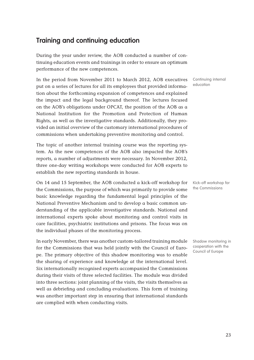## **Training and continuing education**

During the year under review, the AOB conducted a number of continuing education events and trainings in order to ensure an optimum performance of the new competences.

In the period from November 2011 to March 2012, AOB executives put on a series of lectures for all its employees that provided information about the forthcoming expansion of competences and explained the impact and the legal background thereof. The lectures focused on the AOB's obligations under OPCAT, the position of the AOB as a National Institution for the Promotion and Protection of Human Rights, as well as the investigative standards. Additionally, they provided an initial overview of the customary international procedures of commissions when undertaking preventive monitoring and control.

The topic of another internal training course was the reporting system. As the new competences of the AOB also impacted the AOB's reports, a number of adjustments were necessary. In November 2012, three one-day writing workshops were conducted for AOB experts to establish the new reporting standards in house.

On 14 and 15 September, the AOB conducted a kick-off workshop for the Commissions, the purpose of which was primarily to provide some basic knowledge regarding the fundamental legal principles of the National Preventive Mechanism and to develop a basic common understanding of the applicable investigative standards. National and international experts spoke about monitoring and control visits in care facilities, psychiatric institutions and prisons. The focus was on the individual phases of the monitoring process.

In early November, there was another custom-tailored training module for the Commissions that was held jointly with the Council of Europe. The primary objective of this shadow monitoring was to enable the sharing of experience and knowledge at the international level. Six internationally recognised experts accompanied the Commissions during their visits of three selected facilities. The module was divided into three sections: joint planning of the visits, the visits themselves as well as debriefing and concluding evaluations. This form of training was another important step in ensuring that international standards are complied with when conducting visits.

Continuing internal education

Kick-off workshop for the Commissions

Shadow monitoring in cooperation with the Council of Europe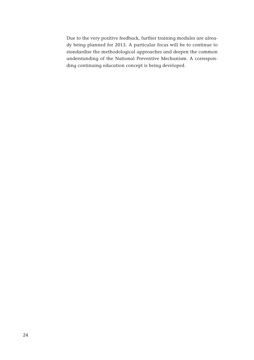Due to the very positive feedback, further training modules are already being planned for 2013. A particular focus will be to continue to standardise the methodological approaches and deepen the common understanding of the National Preventive Mechanism. A corresponding continuing education concept is being developed.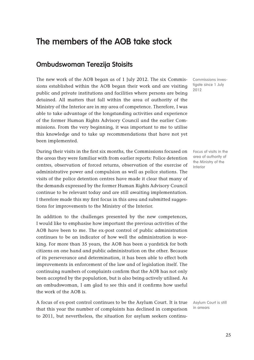# **The members of the AOB take stock**

## **Ombudswoman Terezija Stoisits**

The new work of the AOB began as of 1 July 2012. The six Commissions established within the AOB began their work and are visiting public and private institutions and facilities where persons are being detained. All matters that fall within the area of authority of the Ministry of the Interior are in my area of competence. Therefore, I was able to take advantage of the longstanding activities and experience of the former Human Rights Advisory Council and the earlier Commissions. From the very beginning, it was important to me to utilise this knowledge and to take up recommendations that have not yet been implemented.

During their visits in the first six months, the Commissions focused on the areas they were familiar with from earlier reports: Police detention centres, observation of forced returns, observation of the exercise of administrative power and compulsion as well as police stations. The visits of the police detention centres have made it clear that many of the demands expressed by the former Human Rights Advisory Council continue to be relevant today and are still awaiting implementation. I therefore made this my first focus in this area and submitted suggestions for improvements to the Ministry of the Interior.

In addition to the challenges presented by the new competences, I would like to emphasise how important the previous activities of the AOB have been to me. The ex-post control of public administration continues to be an indicator of how well the administration is working. For more than 35 years, the AOB has been a yardstick for both citizens on one hand and public administration on the other. Because of its perseverance and determination, it has been able to effect both improvements in enforcement of the law and of legislation itself. The continuing numbers of complaints confirm that the AOB has not only been accepted by the population, but is also being actively utilised. As an ombudswoman, I am glad to see this and it confirms how useful the work of the AOB is.

A focus of ex-post control continues to be the Asylum Court. It is true that this year the number of complaints has declined in comparison to 2011, but nevertheless, the situation for asylum seekers continuCommissions investigate since 1 July 2012

Focus of visits in the area of authority of the Ministry of the Interior

Asylum Court is still in arrears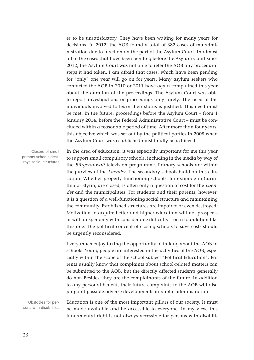es to be unsatisfactory. They have been waiting for many years for decisions. In 2012, the AOB found a total of 382 cases of maladministration due to inaction on the part of the Asylum Court. In almost all of the cases that have been pending before the Asylum Court since 2012, the Asylum Court was not able to refer the AOB any procedural steps it had taken. I am afraid that cases, which have been pending for "only" one year will go on for years. Many asylum seekers who contacted the AOB in 2010 or 2011 have again complained this year about the duration of the proceedings. The Asylum Court was able to report investigations or proceedings only rarely. The need of the individuals involved to learn their status is justified. This need must be met. In the future, proceedings before the Asylum Court – from 1 January 2014, before the Federal Administrative Court – must be concluded within a reasonable period of time. After more than four years, this objective which was set out by the political parties in 2008 when the Asylum Court was established must finally be achieved.

Closure of small primary schools destroys social structures In the area of education, it was especially important for me this year to support small compulsory schools, including in the media by way of the Bürgeranwalt television programme. Primary schools are within the purview of the *Laender*. The secondary schools build on this education. Whether properly functioning schools, for example in Carinthia or Styria, are closed, is often only a question of cost for the Laender and the municipalities. For students and their parents, however, it is a question of a well-functioning social structure and maintaining the community. Established structures are impaired or even destroyed. Motivation to acquire better and higher education will not prosper – or will prosper only with considerable difficulty – on a foundation like this one. The political concept of closing schools to save costs should be urgently reconsidered.

I very much enjoy taking the opportunity of talking about the AOB in schools. Young people are interested in the activities of the AOB, especially within the scope of the school subject "Political Education". Parents usually know that complaints about school-related matters can be submitted to the AOB, but the directly affected students generally do not. Besides, they are the complainants of the future. In addition to any personal benefit, their future complaints to the AOB will also pinpoint possible adverse developments in public administration.

Obstacles for persons with disabilities

Education is one of the most important pillars of our society. It must be made available and be accessible to everyone. In my view, this fundamental right is not always accessible for persons with disabili-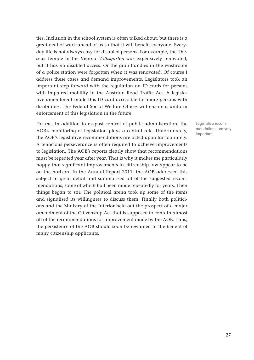ties. Inclusion in the school system is often talked about, but there is a great deal of work ahead of us so that it will benefit everyone. Everyday life is not always easy for disabled persons. For example, the Theseus Temple in the Vienna Volksgarten was expensively renovated, but it has no disabled access. Or the grab handles in the washroom of a police station were forgotten when it was renovated. Of course I address these cases and demand improvements. Legislators took an important step forward with the regulation on ID cards for persons with impaired mobility in the Austrian Road Traffic Act. A legislative amendment made this ID card accessible for more persons with disabilities. The Federal Social Welfare Offices will ensure a uniform enforcement of this legislation in the future.

For me, in addition to ex-post control of public administration, the AOB's monitoring of legislation plays a central role. Unfortunately, the AOB's legislative recommendations are acted upon far too rarely. A tenacious perseverance is often required to achieve improvements to legislation. The AOB's reports clearly show that recommendations must be repeated year after year. That is why it makes me particularly happy that significant improvements in citizenship law appear to be on the horizon. In the Annual Report 2011, the AOB addressed this subject in great detail and summarised all of the suggested recommendations, some of which had been made repeatedly for years. Then things began to stir. The political arena took up some of the items and signalised its willingness to discuss them. Finally both politicians and the Ministry of the Interior held out the prospect of a major amendment of the Citizenship Act that is supposed to contain almost all of the recommendations for improvement made by the AOB. Thus, the persistence of the AOB should soon be rewarded to the benefit of many citizenship applicants.

Legislative recommendations are very important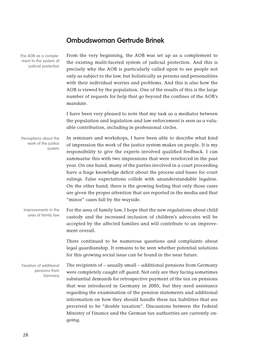## **Ombudswoman Gertrude Brinek**

| The AOB as a comple-<br>ment to the system of<br>judicial protection | From the very beginning, the AOB was set up as a complement to<br>the existing multi-faceted system of judicial protection. And this is<br>precisely why the AOB is particularly called upon to see people not<br>only as subject to the law, but holistically as persons and personalities<br>with their individual worries and problems. And this is also how the<br>AOB is viewed by the population. One of the results of this is the large<br>number of requests for help that go beyond the confines of the AOB's<br>mandate.                                                                                                                                                                          |
|----------------------------------------------------------------------|--------------------------------------------------------------------------------------------------------------------------------------------------------------------------------------------------------------------------------------------------------------------------------------------------------------------------------------------------------------------------------------------------------------------------------------------------------------------------------------------------------------------------------------------------------------------------------------------------------------------------------------------------------------------------------------------------------------|
|                                                                      | I have been very pleased to note that my task as a mediator between<br>the population and legislation and law enforcement is seen as a valu-<br>able contribution, including in professional circles.                                                                                                                                                                                                                                                                                                                                                                                                                                                                                                        |
| Perceptions about the<br>work of the justice<br>system               | In seminars and workshops, I have been able to describe what kind<br>of impression the work of the justice system makes on people. It is my<br>responsibility to give the experts involved qualified feedback. I can<br>summarise this with two impressions that were reinforced in the past<br>year. On one hand, many of the parties involved in a court proceeding<br>have a huge knowledge deficit about the process and bases for court<br>rulings. False expectations collide with ununderstandable legalese.<br>On the other hand, there is the growing feeling that only those cases<br>are given the proper attention that are reported in the media and that<br>"minor" cases fall by the wayside. |
| Improvements in the<br>area of family law                            | For the area of family law, I hope that the new regulations about child<br>custody and the increased inclusion of children's advocates will be<br>accepted by the affected families and will contribute to an improve-<br>ment overall.                                                                                                                                                                                                                                                                                                                                                                                                                                                                      |
|                                                                      | There continued to be numerous questions and complaints about<br>legal guardianship. It remains to be seen whether potential solutions<br>for this growing social issue can be found in the near future.                                                                                                                                                                                                                                                                                                                                                                                                                                                                                                     |
| <b>Taxation of additional</b><br>pensions from<br>Germany            | The recipients of - usually small - additional pensions from Germany<br>were completely caught off guard. Not only are they facing sometimes<br>substantial demands for retrospective payment of the tax on pensions<br>that was introduced in Germany in 2005, but they need assistance<br>regarding the examination of the pension statements and additional<br>information on how they should handle these tax liabilities that are<br>perceived to be "double taxation". Discussions between the Federal<br>Ministry of Finance and the German tax authorities are currently on-<br>going.                                                                                                               |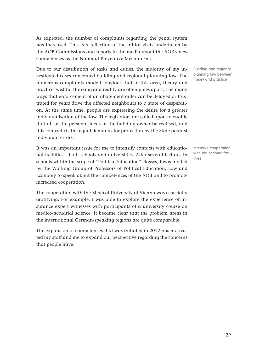As expected, the number of complaints regarding the penal system has increased. This is a reflection of the initial visits undertaken by the AOB Commissions and reports in the media about the AOB's new competences as the National Preventive Mechanism.

Due to our distribution of tasks and duties, the majority of my investigated cases concerned building and regional planning law. The numerous complaints made it obvious that in this area, theory and practice, wishful thinking and reality are often poles apart. The many ways that enforcement of an abatement order can be delayed or frustrated for years drive the affected neighbours to a state of desperation. At the same time, people are expressing the desire for a greater individualisation of the law. The legislators are called upon to enable that all of the personal ideas of the building owner be realised, and this contradicts the equal demands for protection by the State against individual errors.

It was an important issue for me to intensify contacts with educational facilities – both schools and universities. After several lectures in schools within the scope of "Political Education" classes, I was invited by the Working Group of Professors of Political Education, Law and Economy to speak about the competences of the AOB and to promote increased cooperation.

The cooperation with the Medical University of Vienna was especially gratifying. For example, I was able to explore the experience of insurance expert witnesses with participants of a university course on medico-actuarial science. It became clear that the problem areas in the international German-speaking regions are quite comparable.

The expansion of competences that was initiated in 2012 has motivated my staff and me to expand our perspective regarding the concerns that people have.

Building and regional planning law between theory and practice

Intensive cooperation with educational facilities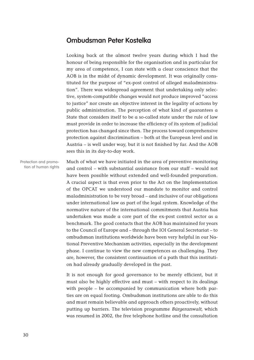#### **Ombudsman Peter Kostelka**

Looking back at the almost twelve years during which I had the honour of being responsible for the organisation and in particular for my area of competence, I can state with a clear conscience that the AOB is in the midst of dynamic development. It was originally constituted for the purpose of "ex-post control of alleged maladministration". There was widespread agreement that undertaking only selective, system-compatible changes would not produce improved "access to justice" nor create an objective interest in the legality of actions by public administration. The perception of what kind of guarantees a State that considers itself to be a so-called state under the rule of law must provide in order to increase the efficiency of its system of judicial protection has changed since then. The process toward comprehensive protection against discrimination – both at the European level and in Austria – is well under way, but it is not finished by far. And the AOB sees this in its day-to-day work.

Much of what we have initiated in the area of preventive monitoring and control – with substantial assistance from our staff – would not have been possible without extended and well-founded preparation. A crucial aspect is that even prior to the Act on the Implementation of the OPCAT we understood our mandate to monitor and control maladministration to be very broad – and inclusive of our obligations under international law as part of the legal system. Knowledge of the normative nature of the international commitments that Austria has undertaken was made a core part of the ex-post control sector as a benchmark. The good contacts that the AOB has maintained for years to the Council of Europe and – through the IOI General Secretariat – to ombudsman institutions worldwide have been very helpful in our National Preventive Mechanism activities, especially in the development phase. I continue to view the new competences as challenging. They are, however, the consistent continuation of a path that this institution had already gradually developed in the past. Protection and promo-

> It is not enough for good governance to be merely efficient, but it must also be highly effective and must – with respect to its dealings with people – be accompanied by communication where both parties are on equal footing. Ombudsman institutions are able to do this and must remain believable and approach others proactively, without putting up barriers. The television programme Bürgeranwalt, which was resumed in 2002, the free telephone hotline and the consultation

tion of human rights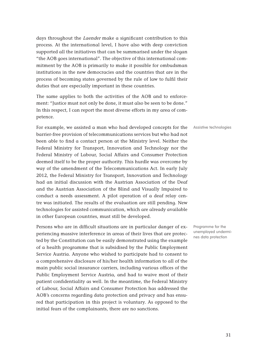days throughout the *Laender* make a significant contribution to this process. At the international level, I have also with deep conviction supported all the initiatives that can be summarised under the slogan "the AOB goes international". The objective of this international commitment by the AOB is primarily to make it possible for ombudsman institutions in the new democracies and the countries that are in the process of becoming states governed by the rule of law to fulfil their duties that are especially important in these countries.

The same applies to both the activities of the AOB and to enforcement: "Justice must not only be done, it must also be seen to be done." In this respect, I can report the most diverse efforts in my area of competence.

For example, we assisted a man who had developed concepts for the Assistive technologies barrier-free provision of telecommunications services but who had not been able to find a contact person at the Ministry level. Neither the Federal Ministry for Transport, Innovation and Technology nor the Federal Ministry of Labour, Social Affairs and Consumer Protection deemed itself to be the proper authority. This hurdle was overcome by way of the amendment of the Telecommunications Act. In early July 2012, the Federal Ministry for Transport, Innovation and Technology had an initial discussion with the Austrian Association of the Deaf and the Austrian Association of the Blind and Visually Impaired to conduct a needs assessment. A pilot operation of a deaf relay centre was initiated. The results of the evaluation are still pending. New technologies for assisted communication, which are already available in other European countries, must still be developed.

Persons who are in difficult situations are in particular danger of experiencing massive interference in areas of their lives that are protected by the Constitution can be easily demonstrated using the example of a health programme that is subsidised by the Public Employment Service Austria. Anyone who wished to participate had to consent to a comprehensive disclosure of his/her health information to all of the main public social insurance carriers, including various offices of the Public Employment Service Austria, and had to waive most of their patient confidentiality as well. In the meantime, the Federal Ministry of Labour, Social Affairs and Consumer Protection has addressed the AOB's concerns regarding data protection and privacy and has ensured that participation in this project is voluntary. As opposed to the initial fears of the complainants, there are no sanctions.

Programme for the unemployed undermines data protection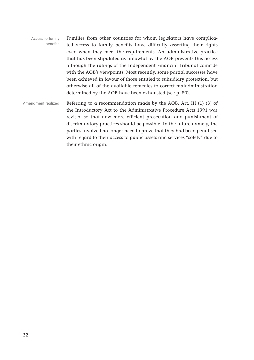- Families from other countries for whom legislators have complicated access to family benefits have difficulty asserting their rights even when they meet the requirements. An administrative practice that has been stipulated as unlawful by the AOB prevents this access although the rulings of the Independent Financial Tribunal coincide with the AOB's viewpoints. Most recently, some partial successes have been achieved in favour of those entitled to subsidiary protection, but otherwise all of the available remedies to correct maladministration determined by the AOB have been exhausted (see p. 80). Access to family benefits
- Referring to a recommendation made by the AOB, Art. III (1) (3) of the Introductory Act to the Administrative Procedure Acts 1991 was revised so that now more efficient prosecution and punishment of discriminatory practices should be possible. In the future namely, the parties involved no longer need to prove that they had been penalised with regard to their access to public assets and services "solely" due to their ethnic origin. Amendment realized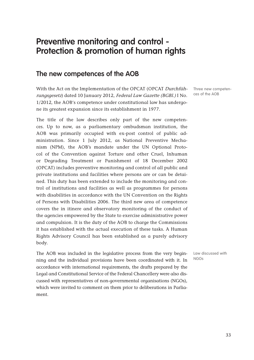# **Preventive monitoring and control - Protection & promotion of human rights**

#### **The new competences of the AOB**

With the Act on the Implementation of the OPCAT (OPCAT Durchführungsgesetz) dated 10 January 2012, Federal Law Gazette (BGBl.) I No. 1/2012, the AOB's competence under constitutional law has undergone its greatest expansion since its establishment in 1977.

The title of the law describes only part of the new competences. Up to now, as a parliamentary ombudsman institution, the AOB was primarily occupied with ex-post control of public administration. Since 1 July 2012, as National Preventive Mechanism (NPM), the AOB's mandate under the UN Optional Protocol of the Convention against Torture and other Cruel, Inhuman or Degrading Treatment or Punishment of 18 December 2002 (OPCAT) includes preventive monitoring and control of all public and private institutions and facilities where persons are or can be detained. This duty has been extended to include the monitoring and control of institutions and facilities as well as programmes for persons with disabilities in accordance with the UN Convention on the Rights of Persons with Disabilities 2006. The third new area of competence covers the in itinere and observatory monitoring of the conduct of the agencies empowered by the State to exercise administrative power and compulsion. It is the duty of the AOB to charge the Commissions it has established with the actual execution of these tasks. A Human Rights Advisory Council has been established as a purely advisory body.

The AOB was included in the legislative process from the very beginning and the individual provisions have been coordinated with it. In accordance with international requirements, the drafts prepared by the Legal and Constitutional Service of the Federal Chancellery were also discussed with representatives of non-governmental organisations (NGOs), which were invited to comment on them prior to deliberations in Parliament.

Three new competences of the AOB

Law discussed with NGOs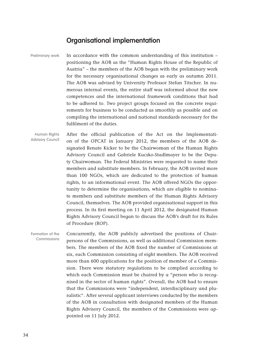#### **Organisational implementation**

In accordance with the common understanding of this institution – positioning the AOB as the "Human Rights House of the Republic of Austria" – the members of the AOB began with the preliminary work for the necessary organisational changes as early as autumn 2011. The AOB was advised by University Professor Stefan Titscher. In numerous internal events, the entire staff was informed about the new competences and the international framework conditions that had to be adhered to. Two project groups focused on the concrete requirements for business to be conducted as smoothly as possible and on compiling the international and national standards necessary for the fulfilment of the duties. Preliminary work

After the official publication of the Act on the Implementation of the OPCAT in January 2012, the members of the AOB designated Renate Kicker to be the Chairwoman of the Human Rights Advisory Council and Gabriele Kucsko-Stadlmayer to be the Deputy Chairwoman. The Federal Ministries were requested to name their members and substitute members. In February, the AOB invited more than 100 NGOs, which are dedicated to the protection of human rights, to an informational event. The AOB offered NGOs the opportunity to determine the organisations, which are eligible to nominate members and substitute members of the Human Rights Advisory Council, themselves. The AOB provided organisational support in this process. In its first meeting on 11 April 2012, the designated Human Rights Advisory Council began to discuss the AOB's draft for its Rules of Procedure (ROP). Human Rights Advisory Council

Concurrently, the AOB publicly advertised the positions of Chairpersons of the Commissions, as well as additional Commission members. The members of the AOB fixed the number of Commissions at six, each Commission consisting of eight members. The AOB received more than 600 applications for the position of member of a Commission. There were statutory regulations to be complied according to which each Commission must be chaired by a "person who is recognised in the sector of human rights". Overall, the AOB had to ensure that the Commissions were "independent, interdisciplinary and pluralistic". After several applicant interviews conducted by the members of the AOB in consultation with designated members of the Human Rights Advisory Council, the members of the Commissions were appointed on 11 July 2012. Formation of the Commissions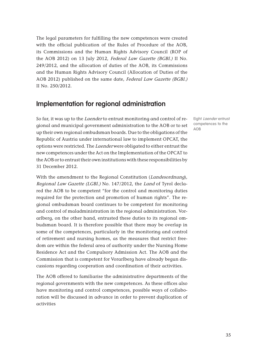The legal parameters for fulfilling the new competences were created with the official publication of the Rules of Procedure of the AOB, its Commissions and the Human Rights Advisory Council (ROP of the AOB 2012) on 13 July 2012, Federal Law Gazette (BGBl.) II No. 249/2012, and the allocation of duties of the AOB, its Commissions and the Human Rights Advisory Council (Allocation of Duties of the AOB 2012) published on the same date, Federal Law Gazette (BGBl.) II No. 250/2012.

# **Implementation for regional administration**

So far, it was up to the Laender to entrust monitoring and control of regional and municipal government administration to the AOB or to set up their own regional ombudsman boards. Due to the obligations of the Republic of Austria under international law to implement OPCAT, the options were restricted. The Laender were obligated to either entrust the new competences under the Act on the Implementation of the OPCAT to the AOB or to entrust their own institutions with these responsibilities by 31 December 2012.

With the amendment to the Regional Constitution (Landesordnung), Regional Law Gazette (LGBl.) No. 147/2012, the Land of Tyrol declared the AOB to be competent "for the control and monitoring duties required for the protection and promotion of human rights". The regional ombudsman board continues to be competent for monitoring and control of maladministration in the regional administration. Vorarlberg, on the other hand, entrusted these duties to its regional ombudsman board. It is therefore possible that there may be overlap in some of the competences, particularly in the monitoring and control of retirement and nursing homes, as the measures that restrict freedom are within the federal area of authority under the Nursing Home Residence Act and the Compulsory Admission Act. The AOB and the Commission that is competent for Vorarlberg have already begun discussions regarding cooperation and coordination of their activities.

The AOB offered to familiarise the administrative departments of the regional governments with the new competences. As these offices also have monitoring and control competences, possible ways of collaboration will be discussed in advance in order to prevent duplication of activities

Eight Laender entrust competences to the AOB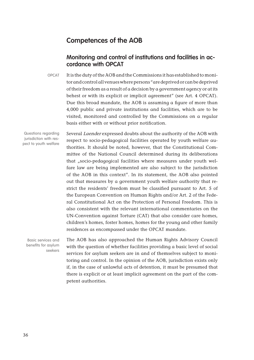# **Competences of the AOB**

# **Monitoring and control of institutions and facilities in accordance with OPCAT**

It is the duty of the AOB and the Commissions it has established to monitor and control all venues where persons "are deprived or can be deprived of their freedom as a result of a decision by a government agency or at its behest or with its explicit or implicit agreement" (see Art. 4 OPCAT). Due this broad mandate, the AOB is assuming a figure of more than 4,000 public and private institutions and facilities, which are to be visited, monitored and controlled by the Commissions on a regular basis either with or without prior notification. OPCAT

Several Laender expressed doubts about the authority of the AOB with respect to socio-pedagogical facilities operated by youth welfare authorities. It should be noted, however, that the Constitutional Committee of the National Council determined during its deliberations that "socio-pedagogical facilities where measures under youth welfare law are being implemented are also subject to the jurisdiction of the AOB in this context". In its statement, the AOB also pointed out that measures by a government youth welfare authority that restrict the residents' freedom must be classified pursuant to Art. 5 of the European Convention on Human Rights and/or Art. 2 of the Federal Constitutional Act on the Protection of Personal Freedom. This is also consistent with the relevant international commentaries on the UN-Convention against Torture (CAT) that also consider care homes, children's homes, foster homes, homes for the young and other family residences as encompassed under the OPCAT mandate.

The AOB has also approached the Human Rights Advisory Council with the question of whether facilities providing a basic level of social services for asylum seekers are in and of themselves subject to monitoring and control. In the opinion of the AOB, jurisdiction exists only if, in the case of unlawful acts of detention, it must be presumed that there is explicit or at least implicit agreement on the part of the competent authorities.

Questions regarding jurisdiction with respect to youth welfare

Basic services and benefits for asylum seekers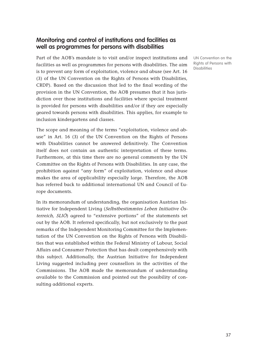# **Monitoring and control of institutions and facilities as well as programmes for persons with disabilities**

Part of the AOB's mandate is to visit and/or inspect institutions and facilities as well as programmes for persons with disabilities. The aim is to prevent any form of exploitation, violence and abuse (see Art. 16 (3) of the UN Convention on the Rights of Persons with Disabilities, CRDP). Based on the discussion that led to the final wording of the provision in the UN Convention, the AOB presumes that it has jurisdiction over those institutions and facilities where special treatment is provided for persons with disabilities and/or if they are especially geared towards persons with disabilities. This applies, for example to inclusion kindergartens and classes.

The scope and meaning of the terms "exploitation, violence and abuse" in Art. 16 (3) of the UN Convention on the Rights of Persons with Disabilities cannot be answered definitively. The Convention itself does not contain an authentic interpretation of these terms. Furthermore, at this time there are no general comments by the UN Committee on the Rights of Persons with Disabilities. In any case, the prohibition against "any form" of exploitation, violence and abuse makes the area of applicability especially large. Therefore, the AOB has referred back to additional international UN and Council of Europe documents.

In its memorandum of understanding, the organisation Austrian Initiative for Independent Living (Selbstbestimmtes Leben Initiative Österreich, SLIÖ) agreed to "extensive portions" of the statements set out by the AOB. It referred specifically, but not exclusively to the past remarks of the Independent Monitoring Committee for the Implementation of the UN Convention on the Rights of Persons with Disabilities that was established within the Federal Ministry of Labour, Social Affairs and Consumer Protection that has dealt comprehensively with this subject. Additionally, the Austrian Initiative for Independent Living suggested including peer counsellors in the activities of the Commissions. The AOB made the memorandum of understanding available to the Commission and pointed out the possibility of consulting additional experts.

UN Convention on the Rights of Persons with **Disabilities**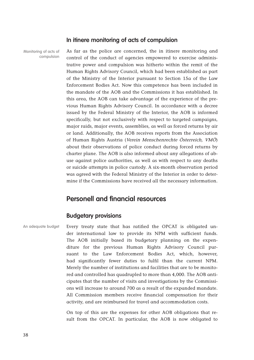### **In itinere monitoring of acts of compulsion**

Monitoring of acts of compulsion

As far as the police are concerned, the in itinere monitoring and control of the conduct of agencies empowered to exercise administrative power and compulsion was hitherto within the remit of the Human Rights Advisory Council, which had been established as part of the Ministry of the Interior pursuant to Section 15a of the Law Enforcement Bodies Act. Now this competence has been included in the mandate of the AOB and the Commissions it has established. In this area, the AOB can take advantage of the experience of the previous Human Rights Advisory Council. In accordance with a decree issued by the Federal Ministry of the Interior, the AOB is informed specifically, but not exclusively with respect to targeted campaigns, major raids, major events, assemblies, as well as forced returns by air or land. Additionally, the AOB receives reports from the Association of Human Rights Austria (Verein Menschenrechte Österreich, VMÖ) about their observations of police conduct during forced returns by charter plane. The AOB is also informed about any allegations of abuse against police authorities, as well as with respect to any deaths or suicide attempts in police custody. A six-month observation period was agreed with the Federal Ministry of the Interior in order to determine if the Commissions have received all the necessary information.

# **Personell and financial resources**

# **Budgetary provisions**

Every treaty state that has ratified the OPCAT is obligated under international law to provide its NPM with sufficient funds. The AOB initially based its budgetary planning on the expenditure for the previous Human Rights Advisory Council pursuant to the Law Enforcement Bodies Act, which, however, had significantly fewer duties to fulfil than the current NPM. Merely the number of institutions and facilities that are to be monitored and controlled has quadrupled to more than 4,000. The AOB anticipates that the number of visits and investigations by the Commissions will increase to around 700 as a result of the expanded mandate. All Commission members receive financial compensation for their activity, and are reimbursed for travel and accommodation costs. An adequate budget

> On top of this are the expenses for other AOB obligations that result from the OPCAT. In particular, the AOB is now obligated to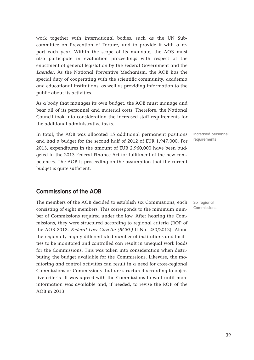work together with international bodies, such as the UN Subcommittee on Prevention of Torture, and to provide it with a report each year. Within the scope of its mandate, the AOB must also participate in evaluation proceedings with respect of the enactment of general legislation by the Federal Government and the Laender. As the National Preventive Mechanism, the AOB has the special duty of cooperating with the scientific community, academia and educational institutions, as well as providing information to the public about its activities.

As a body that manages its own budget, the AOB must manage and bear all of its personnel and material costs. Therefore, the National Council took into consideration the increased staff requirements for the additional administrative tasks.

In total, the AOB was allocated 15 additional permanent positions and had a budget for the second half of 2012 of EUR 1,947,000. For 2013, expenditures in the amount of EUR 2,960,000 have been budgeted in the 2013 Federal Finance Act for fulfilment of the new competences. The AOB is proceeding on the assumption that the current budget is quite sufficient.

**Commissions of the AOB**

The members of the AOB decided to establish six Commissions, each consisting of eight members. This corresponds to the minimum number of Commissions required under the law. After hearing the Commissions, they were structured according to regional criteria (ROP of the AOB 2012, Federal Law Gazette (BGBl.) II No. 250/2012). Alone the regionally highly differentiated number of institutions and facilities to be monitored and controlled can result in unequal work loads for the Commissions. This was taken into consideration when distributing the budget available for the Commissions. Likewise, the monitoring and control activities can result in a need for cross-regional Commissions or Commissions that are structured according to objective criteria. It was agreed with the Commissions to wait until more information was available and, if needed, to revise the ROP of the AOB in 2013

Increased personnel requirements

Six regional Commissions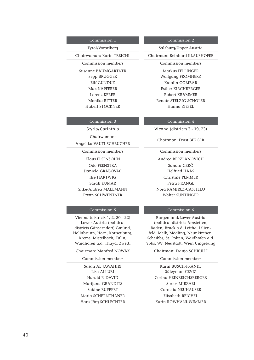Commission members Commission members

Hubert STOCKNER Hanna ZIESEL

#### Commission 1 Commission 2

Tyrol/Vorarlberg Salzburg/Upper Austria

Chairwoman: Karin TREICHL Chairman: Reinhard KLAUSHOFER

Susanne BAUMGARTNER Markus FELLINGER Sepp BRUGGER Wolfgang FROMHERZ Elif GÜNDÜZ Katalin GOMBAR Max KAPFERER Esther KIRCHBERGER Lorenz KERER Robert KRAMMER Monika RITTER Renate STELZIG-SCHÖLER

#### Commission 3 Commission 4

#### **Styria/Carinthia Vienna (districts 3 - 19, 23)**

Chairwoman: Angelika VAUTI-SCHEUCHER

Commission members Commission members

Klaus ELSENSOHN Andrea BERZLANOVICH Daniela GRABOVAC Helfried HAAS

#### Commission 5 Commission 6

Vienna (districts 1, 2, 20 - 22) Lower Austria (political districts Gänserndorf, Gmünd, Hollabrunn, Horn, Korneuburg, Krems, Mistelbach, Tulln, Waidhofen a.d. Thaya, Zwettl

#### Chairman: Manfred NOWAK Chairman: Franjo SCHRUIFF

### Commission members Commission members

Susan AL JAWAHIRI Karin BUSCH-FRANKL Marijana GRANDITS Siroos MIRZAEI Maria SCHERNTHANER<br>
Elisabeth REICHEL

Chairman: Ernst BERGER

Odo FEENSTRA Sandra GERÖ Ilse HARTWIG Christine PEMMER Sarah KUMAR Petra PRANGL Silke-Andrea MALLMANN Nora RAMIREZ-CASTILLO Erwin SCHWENTNER Walter SUNTINGER

Burgenland/Lower Austria (political districts Amstetten, Baden, Bruck a.d. Leitha, Lilienfeld, Melk, Mödling, Neunkirchen, Scheibbs, St. Pölten, Waidhofen a.d. Ybbs, Wr. Neustadt, Wien Umgebung

Lisa ALLURI Süleyman CEVIZ Harald P. DAVID Corina HEINREICHSBERGER Sabine RUPPERT Cornelia NEUHAUSER Hans Jörg SCHLECHTER Karin ROWHANI-WIMMER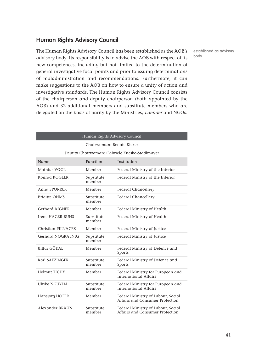# **Human Rights Advisory Council**

The Human Rights Advisory Council has been established as the AOB's advisory body. Its responsibility is to advise the AOB with respect of its new competences, including but not limited to the determination of general investigative focal points and prior to issuing determinations of maladministration and recommendations. Furthermore, it can make suggestions to the AOB on how to ensure a unity of action and investigative standards. The Human Rights Advisory Council consists of the chairperson and deputy chairperson (both appointed by the AOB) and 32 additional members and substitute members who are delegated on the basis of parity by the Ministries, Laender and NGOs.

established as advisory body

|                                               | Human Rights Advisory Council |                                                                       |  |  |  |  |
|-----------------------------------------------|-------------------------------|-----------------------------------------------------------------------|--|--|--|--|
| Chairwoman: Renate Kicker                     |                               |                                                                       |  |  |  |  |
| Deputy Chairwoman: Gabriele Kucsko-Stadlmayer |                               |                                                                       |  |  |  |  |
| Name                                          | Function                      | Institution                                                           |  |  |  |  |
| Mathias VOGL                                  | Member                        | Federal Ministry of the Interior                                      |  |  |  |  |
| Konrad KOGLER                                 | Supstitute<br>member          | Federal Ministry of the Interior                                      |  |  |  |  |
| Anna SPORRER                                  | Member                        | Federal Chancellery                                                   |  |  |  |  |
| <b>Brigitte OHMS</b>                          | Supstitute<br>member          | <b>Federal Chancellery</b>                                            |  |  |  |  |
| Gerhard AIGNER                                | Member                        | Federal Ministry of Health                                            |  |  |  |  |
| Irene HAGER-RUHS                              | Supstitute<br>member          | Federal Ministry of Health                                            |  |  |  |  |
| Christian PILNACEK                            | Member                        | Federal Ministry of Justice                                           |  |  |  |  |
| Gerhard NOGRATNIG                             | Supstitute<br>member          | Federal Ministry of Justice                                           |  |  |  |  |
| Billur GÖKAL                                  | Member                        | Federal Ministry of Defence and<br>Sports                             |  |  |  |  |
| Karl SATZINGER                                | Supstitute<br>member          | Federal Ministry of Defence and<br>Sports                             |  |  |  |  |
| <b>Helmut TICHY</b>                           | Member                        | Federal Ministry for European and<br>International Affairs            |  |  |  |  |
| Ulrike NGUYEN                                 | Supstitute<br>member          | Federal Ministry for European and<br>International Affairs            |  |  |  |  |
| Hansjörg HOFER                                | Member                        | Federal Ministry of Labour, Social<br>Affairs and Consumer Protection |  |  |  |  |
| Alexander BRAUN                               | Supstitute<br>member          | Federal Ministry of Labour, Social<br>Affairs and Consumer Protection |  |  |  |  |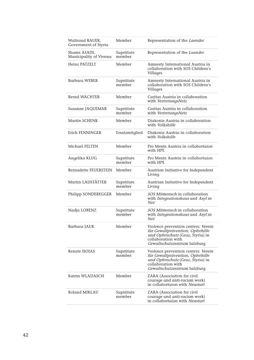| Waltraud BAUER,<br>Government of Styria | Member               | Representation of the Laender                                                                                                                                      |
|-----------------------------------------|----------------------|--------------------------------------------------------------------------------------------------------------------------------------------------------------------|
| Shams ASADI,<br>Municipality of Vienna  | Supstitute<br>member | Representation of the Laender                                                                                                                                      |
| Heinz PATZELT                           | Member               | Amnesty International Austria in<br>collaboration with SOS Children's<br>Villages                                                                                  |
| <b>Barbara WEBER</b>                    | Supstitute<br>member | Amnesty International Austria in<br>collaboration with SOS Children's<br>Villages                                                                                  |
| Bernd WACHTER                           | Member               | Caritas Austria in collaboration<br>with VertretungsNetz                                                                                                           |
| Susanne JAQUEMAR                        | Supstitute<br>member | Caritas Austria in collaboration<br>with VertretungsNetz                                                                                                           |
| Martin SCHENK                           | Member               | Diakonie Austria in collaboration<br>with <i>Volkshilfe</i>                                                                                                        |
| Erich FENNINGER                         | Ersatzmitglied       | Diakonie Austria in collaboration<br>with <i>Volkshilfe</i>                                                                                                        |
| Michael FELTEN                          | Member               | Pro Mente Austria in collabortaion<br>with HPF.                                                                                                                    |
| Angelika KLUG                           | Supstitute<br>member | Pro Mente Austria in collabortaion<br>with HPE                                                                                                                     |
| Bernadette FEUERSTEIN                   | Member               | Austrian Initiative for Independent<br>Living                                                                                                                      |
| Martin LADSTÄTTER                       | Supstitute<br>member | Austrian Initiative for Independent<br>Living                                                                                                                      |
| Philipp SONDEREGGER                     | Member               | SOS Mitmensch in collaboration<br>with Integrationshaus and Asyl in<br>Not                                                                                         |
| Nadja LORENZ                            | Supstitute<br>member | <i>SOS Mitmensch</i> in collaboration<br>with Integrationshaus and Asyl in<br>Not                                                                                  |
| Barbara JAUK                            | Member               | Violence prevention centers: Verein<br>für Gewaltprävention, Opferhilfe<br>und Opferschutz (Graz, Styria) in<br>collaboration with<br>Gewaltschutzzentrum Salzburg |
| Renate HOJAS                            | Supstitute<br>member | Violence prevention centers: Verein<br>für Gewaltprävention, Opferhilfe<br>und Opferschutz (Graz, Styria) in<br>collaboration with<br>Gewaltschutzzentrum Salzburg |
| Katrin WLADASCH                         | Member               | ZARA (Association for civil<br>courage and anti-racism work)<br>in collabortaion with Neustart                                                                     |
| Roland MIKLAU                           | Supstitute<br>member | ZARA (Association for civil<br>courage and anti-racism work)<br>in collabortaion with Neustart                                                                     |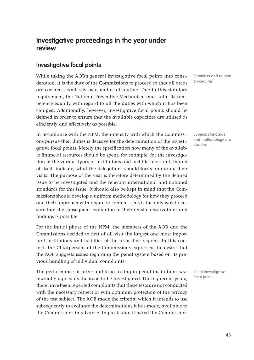# **Investigative proceedings in the year under review**

# **Investigative focal points**

While taking the AOB's general investigative focal points into consideration, it is the duty of the Commissions to proceed so that all areas are covered seamlessly as a matter of routine. Due to this statutory requirement, the National Preventive Mechanism must fulfil its competence equally with regard to all the duties with which it has been charged. Additionally, however, investigative focal points should be defined in order to ensure that the available capacities are utilised as efficiently and effectively as possible.

In accordance with the NPM, the intensity with which the Commissions pursue their duties is decisive for the determination of the investigative focal points. Merely the specification how many of the available financial resources should be spent, for example, for the investigation of the various types of institutions and facilities does not, in and of itself, indicate, what the delegations should focus on during their visits. The purpose of the visit is therefore determined by the defined issue to be investigated and the relevant international and national standards for this issue. It should also be kept in mind that the Commissions should develop a uniform methodology for how they proceed and their approach with regard to content. This is the only way to ensure that the subsequent evaluation of their on-site observations and findings is possible.

For the initial phase of the NPM, the members of the AOB and the Commissions decided to first of all visit the largest and most important institutions and facilities of the respective regions. In this context, the Chairpersons of the Commissions expressed the desire that the AOB suggests issues regarding the penal system based on its previous handling of individual complaints.

The performance of urine and drug testing in penal institutions was mutually agreed as the issue to be investigated. During recent years, there have been repeated complaints that these tests are not conducted with the necessary respect or with optimum protection of the privacy of the test subject. The AOB made the criteria, which it intends to use subsequently to evaluate the determinations it has made, available to the Commissions in advance. In particular, it asked the Commissions

Seamless and routine procedures

Subject, standards and methodology are decisive

Initial investigative focal point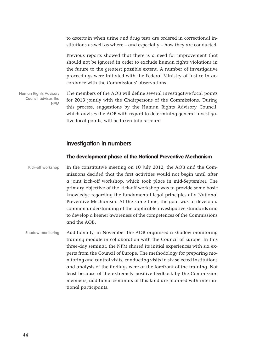to ascertain when urine and drug tests are ordered in correctional institutions as well as where – and especially – how they are conducted.

Previous reports showed that there is a need for improvement that should not be ignored in order to exclude human rights violations in the future to the greatest possible extent. A number of investigative proceedings were initiated with the Federal Ministry of Justice in accordance with the Commissions' observations.

The members of the AOB will define several investigative focal points for 2013 jointly with the Chairpersons of the Commissions. During this process, suggestions by the Human Rights Advisory Council, which advises the AOB with regard to determining general investigative focal points, will be taken into account Human Rights Advisory Council advises the NPM

### **Investigation in numbers**

#### **The development phase of the National Preventive Mechanism**

In the constitutive meeting on 10 July 2012, the AOB and the Commissions decided that the first activities would not begin until after a joint kick-off workshop, which took place in mid-September. The primary objective of the kick-off workshop was to provide some basic knowledge regarding the fundamental legal principles of a National Preventive Mechanism. At the same time, the goal was to develop a common understanding of the applicable investigative standards and to develop a keener awareness of the competences of the Commissions and the AOB. Kick-off workshop

Additionally, in November the AOB organised a shadow monitoring training module in collaboration with the Council of Europe. In this three-day seminar, the NPM shared its initial experiences with six experts from the Council of Europe. The methodology for preparing monitoring and control visits, conducting visits in six selected institutions and analysis of the findings were at the forefront of the training. Not least because of the extremely positive feedback by the Commission members, additional seminars of this kind are planned with international participants. Shadow monitoring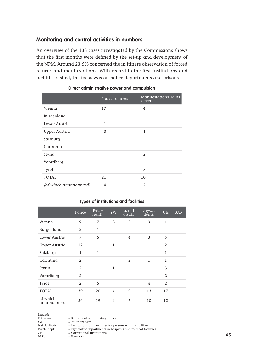## **Monitoring and control activities in numbers**

An overview of the 133 cases investigated by the Commissions shows that the first months were defined by the set-up and development of the NPM. Around 23.5% concerned the in itinere observation of forced returns and manifestations. With regard to the first institutions and facilities visited, the focus was on police departments and prisons

|                        | Forced returns | Manifestations raids<br>/ events |
|------------------------|----------------|----------------------------------|
| Vienna                 | 17             | 4                                |
| Burgenland             |                |                                  |
| Lower Austria          | $\mathbf{1}$   |                                  |
| Upper Austria          | 3              | $\mathbf{1}$                     |
| Salzburg               |                |                                  |
| Carinthia              |                |                                  |
| Styria                 |                | $\mathcal{L}$                    |
| Vorarlberg             |                |                                  |
| Tyrol                  |                | 3                                |
| <b>TOTAL</b>           | 21             | 10                               |
| (of which unannounced) | 4              | $\mathfrak{D}$                   |

#### **Direct administrative power and compulsion**

#### **Types of institutions and facilities**

|                         | $\overline{\text{Policy}}$ | $Ret. +$<br>nur.h. | YW           | Inst. f.<br>disabl. | Psych.<br>depts. | CIs            | BAR. |
|-------------------------|----------------------------|--------------------|--------------|---------------------|------------------|----------------|------|
| Vienna                  | 9                          | 7                  | 2            | 3                   | 3                | $\mathbf{1}$   |      |
| Burgenland              | 2                          | $\mathbf{1}$       |              |                     |                  |                |      |
| Lower Austria           | 7                          | 5                  |              | $\overline{4}$      | 3                | 5              |      |
| Upper Austria           | 12                         |                    | $\mathbf{1}$ |                     | 1                | 2              |      |
| Salzburg                | $\mathbf{1}$               | $\mathbf{1}$       |              |                     |                  | $\mathbf{1}$   |      |
| Carinthia               | 2                          |                    |              | 2                   | $\mathbf{1}$     | $\mathbf{1}$   |      |
| Styria                  | 2                          | $\mathbf{1}$       | $\mathbf{1}$ |                     | $\mathbf{1}$     | 3              |      |
| Vorarlberg              | 2                          |                    |              |                     |                  | $\overline{2}$ |      |
| Tyrol                   | 2                          | 5                  |              |                     | 4                | $\mathcal{L}$  |      |
| <b>TOTAL</b>            | 39                         | 20                 | 4            | 9                   | 13               | 17             |      |
| of which<br>unannounced | 36                         | 19                 | 4            | 7                   | 10               | 12             |      |

Legend:<br>Ret. + nur.h. YW  $=$  Youth welfare<br>Inst. f. disabl.  $=$  Institutions are  $CIs = Correctional institutions  
\nBAR. = Barracks$ 

Ret. + nur.h.  $=$  Retirement and nursing homes  $YW =$  Youth welfare

Inst. f. disabl.  $=$  Institutions and facilities for persons with disabilities

Psych. depts = Psychiatric departments in hospitals and medical facilities

 $=$  Barracks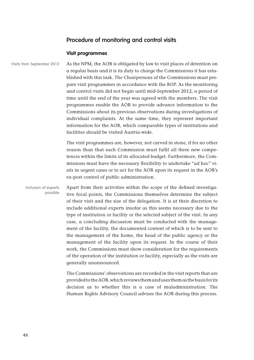# **Procedure of monitoring and control visits**

### **Visit programmes**

Visits from September 2012

As the NPM, the AOB is obligated by law to visit places of detention on a regular basis and it is its duty to charge the Commissions it has established with this task. The Chairpersons of the Commissions must prepare visit programmes in accordance with the ROP. As the monitoring and control visits did not begin until mid-September 2012, a period of time until the end of the year was agreed with the members. The visit programmes enable the AOB to provide advance information to the Commissions about its previous observations during investigations of individual complaints. At the same time, they represent important information for the AOB, which comparable types of institutions and facilities should be visited Austria-wide.

The visit programmes are, however, not carved in stone, if for no other reason than that each Commission must fulfil all three new competences within the limits of its allocated budget. Furthermore, the Commissions must have the necessary flexibility to undertake "ad hoc" visits in urgent cases or to act for the AOB upon its request in the AOB's ex-post control of public administration.

Apart from their activities within the scope of the defined investigative focal points, the Commissions themselves determine the subject of their visit and the size of the delegation. It is at their discretion to include additional experts insofar as this seems necessary due to the type of institution or facility or the selected subject of the visit. In any case, a concluding discussion must be conducted with the management of the facility, the documented content of which is to be sent to the management of the home, the head of the public agency or the management of the facility upon its request. In the course of their work, the Commissions must show consideration for the requirements of the operation of the institution or facility, especially as the visits are generally unannounced. Inclusion of experts possible

> The Commissions' observations are recorded in the visit reports that are provided to the AOB, which reviews them and uses them as the basis for its decision as to whether this is a case of maladministration. The Human Rights Advisory Council advises the AOB during this process.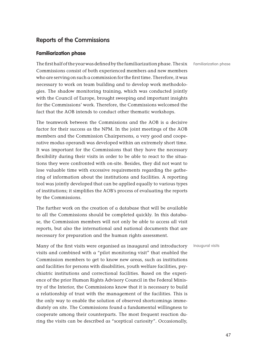# **Reports of the Commissions**

#### **Familiarization phase**

The first half of the year was defined by the familiarization phase. The six Commissions consist of both experienced members and new members who are serving on such a commission for the first time. Therefore, it was necessary to work on team building and to develop work methodologies. The shadow monitoring training, which was conducted jointly with the Council of Europe, brought sweeping and important insights for the Commissions' work. Therefore, the Commissions welcomed the fact that the AOB intends to conduct other thematic workshops.

The teamwork between the Commissions and the AOB is a decisive factor for their success as the NPM. In the joint meetings of the AOB members and the Commission Chairpersons, a very good and cooperative modus operandi was developed within an extremely short time. It was important for the Commissions that they have the necessary flexibility during their visits in order to be able to react to the situations they were confronted with on-site. Besides, they did not want to lose valuable time with excessive requirements regarding the gathering of information about the institutions and facilities. A reporting tool was jointly developed that can be applied equally to various types of institutions; it simplifies the AOB's process of evaluating the reports by the Commissions.

The further work on the creation of a database that will be available to all the Commissions should be completed quickly. In this database, the Commission members will not only be able to access all visit reports, but also the international and national documents that are necessary for preparation and the human rights assessment.

Many of the first visits were organised as inaugural and introductory visits and combined with a "pilot monitoring visit" that enabled the Commission members to get to know new areas, such as institutions and facilities for persons with disabilities, youth welfare facilities, psychiatric institutions and correctional facilities. Based on the experience of the prior Human Rights Advisory Council in the Federal Ministry of the Interior, the Commissions know that it is necessary to build a relationship of trust with the management of the facilities. This is the only way to enable the solution of observed shortcomings immediately on site. The Commissions found a fundamental willingness to cooperate among their counterparts. The most frequent reaction during the visits can be described as "sceptical curiosity". Occasionally,

Familiarization phase

Inaugural visits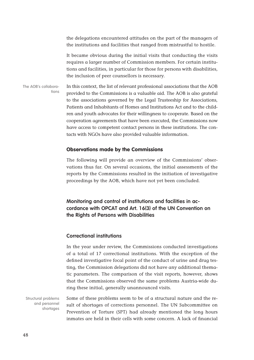the delegations encountered attitudes on the part of the managers of the institutions and facilities that ranged from mistrustful to hostile.

It became obvious during the initial visits that conducting the visits requires a larger number of Commission members. For certain institutions and facilities, in particular for those for persons with disabilities, the inclusion of peer counsellors is necessary.

In this context, the list of relevant professional associations that the AOB provided to the Commissions is a valuable aid. The AOB is also grateful to the associations governed by the Legal Trusteeship for Associations, Patients and Inhabitants of Homes and Institutions Act and to the children and youth advocates for their willingness to cooperate. Based on the cooperation agreements that have been executed, the Commissions now have access to competent contact persons in these institutions. The contacts with NGOs have also provided valuable information. The AOB's collaborations

#### **Observations made by the Commissions**

The following will provide an overview of the Commissions' observations thus far. On several occasions, the initial assessments of the reports by the Commissions resulted in the initiation of investigative proceedings by the AOB, which have not yet been concluded.

**Monitoring and control of institutions and facilities in accordance with OPCAT and Art. 16(3) of the UN Convention on the Rights of Persons with Disabilities**

#### **Correctional institutions**

In the year under review, the Commissions conducted investigations of a total of 17 correctional institutions. With the exception of the defined investigative focal point of the conduct of urine and drug testing, the Commission delegations did not have any additional thematic parameters. The comparison of the visit reports, however, shows that the Commissions observed the same problems Austria-wide during these initial, generally unannounced visits.

Some of these problems seem to be of a structural nature and the result of shortages of corrections personnel. The UN Subcommittee on Prevention of Torture (SPT) had already mentioned the long hours inmates are held in their cells with some concern. A lack of financial Structural problems and personnel shortages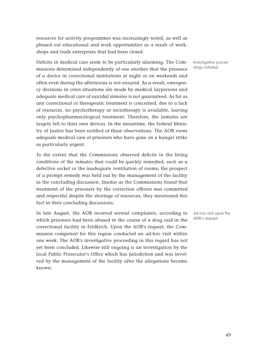resources for activity programmes was increasingly noted, as well as phased out educational and work opportunities as a result of workshops and trade enterprises that had been closed.

Deficits in medical care seem to be particularly alarming. The Commissions determined independently of one another that the presence of a doctor in correctional institutions at night or on weekends and often even during the afternoons is not ensured. As a result, emergency decisions in crisis situations are made by medical laypersons and adequate medical care of suicidal inmates is not guaranteed. As far as any correctional or therapeutic treatment is concerned, due to a lack of resources, no psychotherapy or sociotherapy is available, leaving only psychopharmacological treatment. Therefore, the inmates are largely left to their own devices. In the meantime, the Federal Ministry of Justice has been notified of these observations. The AOB views adequate medical care of prisoners who have gone on a hunger strike as particularly urgent.

To the extent that the Commissions observed deficits in the living conditions of the inmates that could be quickly remedied, such as a defective socket or the inadequate ventilation of rooms, the prospect of a prompt remedy was held out by the management of the facility in the concluding discussion. Insofar as the Commissions found that treatment of the prisoners by the correction officers was committed and respectful despite the shortage of resources, they mentioned this fact in their concluding discussions.

In late August, the AOB received several complaints, according to which prisoners had been abused in the course of a drug raid in the correctional facility in Feldkirch. Upon the AOB's request, the Commission competent for this region conducted an ad-hoc visit within one week. The AOB's investigative proceeding in this regard has not yet been concluded. Likewise still ongoing is an investigation by the local Public Prosecutor's Office which has jurisdiction and was involved by the management of the facility after the allegations became known.

Investigative proceedings initiated

Ad-hoc visit upon the AOB's request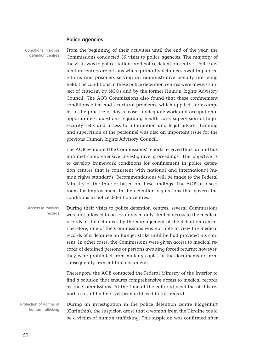#### **Police agencies**

Conditions in police detention centres

From the beginning of their activities until the end of the year, the Commissions conducted 39 visits to police agencies. The majority of the visits was to police stations and police detention centres. Police detention centres are prisons where primarily detainees awaiting forced returns and prisoners serving an administrative penalty are being held. The conditions in these police detention centres were always subject of criticism by NGOs and by the former Human Rights Advisory Council. The AOB Commissions also found that these confinement conditions often had structural problems, which applied, for example, to the practice of day release, inadequate work and occupational opportunities, questions regarding health care, supervision of highsecurity cells and access to information and legal advice. Training and supervision of the personnel was also an important issue for the previous Human Rights Advisory Council.

The AOB evaluated the Commissions' reports received thus far and has initiated comprehensive investigative proceedings. The objective is to develop framework conditions for confinement in police detention centres that is consistent with national and international human rights standards. Recommendations will be made to the Federal Ministry of the Interior based on these findings. The AOB also sees room for improvement in the detention regulations that govern the conditions in police detention centres.

During their visits to police detention centres, several Commissions were not allowed to access or given only limited access to the medical records of the detainees by the management of the detention centre. Therefore, one of the Commissions was not able to view the medical records of a detainee on hunger strike until he had provided his consent. In other cases, the Commissions were given access to medical records of detained persons or persons awaiting forced returns; however, they were prohibited from making copies of the documents or from subsequently transmitting documents. Thereupon, the AOB contacted the Federal Ministry of the Interior to Access to medical records

find a solution that ensures comprehensive access to medical records by the Commissions. At the time of the editorial deadline of this report, a result had not yet been achieved in this regard.

During an investigation in the police detention centre Klagenfurt (Carinthia), the suspicion arose that a woman from the Ukraine could be a victim of human trafficking. This suspicion was confirmed after Protection of victims of human trafficking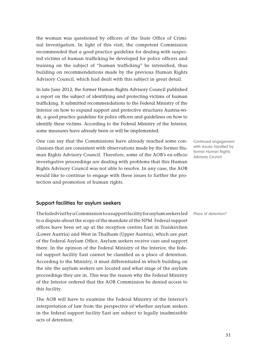the woman was questioned by officers of the State Office of Criminal Investigation. In light of this visit, the competent Commission recommended that a good practice guideline for dealing with suspected victims of human trafficking be developed for police officers and training on the subject of "human trafficking" be intensified, thus building on recommendations made by the previous Human Rights Advisory Council, which had dealt with this subject in great detail.

In late June 2012, the former Human Rights Advisory Council published a report on the subject of identifying and protecting victims of human trafficking. It submitted recommendations to the Federal Ministry of the Interior on how to expand support and protective structures Austria-wide, a good practice guideline for police officers and guidelines on how to identify these victims. According to the Federal Ministry of the Interior, some measures have already been or will be implemented.

One can say that the Commissions have already reached some conclusions that are consistent with observations made by the former Human Rights Advisory Council. Therefore, some of the AOB's ex-officio investigative proceedings are dealing with problems that this Human Rights Advisory Council was not able to resolve. In any case, the AOB would like to continue to engage with these issues to further the protection and promotion of human rights.

#### **Support facilities for asylum seekers**

The failed visit by a Commission to a support facility for asylum seekers led to a dispute about the scope of the mandate of the NPM. Federal support offices have been set up at the reception centres East in Traiskirchen (Lower Austria) and West in Thalham (Upper Austria), which are part of the Federal Asylum Office. Asylum seekers receive care and support there. In the opinion of the Federal Ministry of the Interior, the federal support facility East cannot be classified as a place of detention. According to the Ministry, it must differentiated in which building on the site the asylum seekers are located and what stage of the asylum proceedings they are in. This was the reason why the Federal Ministry of the Interior ordered that the AOB Commission be denied access to this facility.

The AOB will have to examine the Federal Ministry of the Interior's interpretation of law from the perspective of whether asylum seekers in the federal support facility East are subject to legally inadmissible acts of detention.

Continued engagement with issues handled by former Human Rights Advisory Council

Place of detention?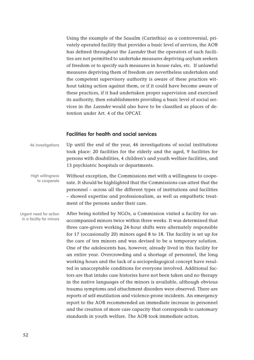Using the example of the Saualm (Carinthia) as a controversial, privately operated facility that provides a basic level of services, the AOB has defined throughout the Laender that the operators of such facilities are not permitted to undertake measures depriving asylum seekers of freedom or to specify such measures in house rules, etc. If unlawful measures depriving them of freedom are nevertheless undertaken and the competent supervisory authority is aware of these practices without taking action against them, or if it could have become aware of these practices, if it had undertaken proper supervision and exercised its authority, then establishments providing a basic level of social services in the Laender would also have to be classified as places of detention under Art. 4 of the OPCAT.

#### **Facilities for health and social services**

Up until the end of the year, 46 investigations of social institutions took place: 20 facilities for the elderly and the aged, 9 facilities for persons with disabilities, 4 children's and youth welfare facilities, and 13 psychiatric hospitals or departments. 46 investigations

Without exception, the Commissions met with a willingness to cooperate. It should be highlighted that the Commissions can attest that the personnel – across all the different types of institutions and facilities – showed expertise and professionalism, as well as empathetic treatment of the persons under their care. High willingness to cooperate

After being notified by NGOs, a Commission visited a facility for unaccompanied minors twice within three weeks. It was determined that three care-givers working 24-hour shifts were alternately responsible for 17 (occasionally 20) minors aged 8 to 18. The facility is set up for the care of ten minors and was devised to be a temporary solution. One of the adolescents has, however, already lived in this facility for an entire year. Overcrowding and a shortage of personnel, the long working hours and the lack of a sociopedagogical concept have resulted in unacceptable conditions for everyone involved. Additional factors are that intake case histories have not been taken and no therapy in the native languages of the minors is available, although obvious trauma symptoms and attachment disorders were observed. There are reports of self-mutilation and violence-prone incidents. An emergency report to the AOB recommended an immediate increase in personnel and the creation of more care capacity that corresponds to customary standards in youth welfare. The AOB took immediate action. Urgent need for action in a facility for minors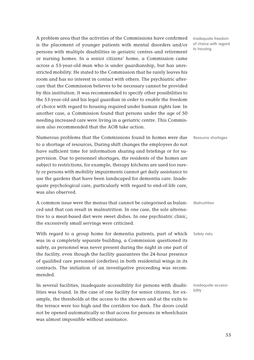A problem area that the activities of the Commissions have confirmed is the placement of younger patients with mental disorders and/or persons with multiple disabilities in geriatric centres and retirement or nursing homes. In a senior citizens' home, a Commission came across a 53-year-old man who is under guardianship, but has unrestricted mobility. He stated to the Commission that he rarely leaves his room and has no interest in contact with others. The psychiatric aftercare that the Commission believes to be necessary cannot be provided by this institution. It was recommended to specify other possibilities to the 53-year-old and his legal guardian in order to enable the freedom of choice with regard to housing required under human rights law. In another case, a Commission found that persons under the age of 50 needing increased care were living in a geriatric centre. This Commission also recommended that the AOB take action.

Numerous problems that the Commissions found in homes were due to a shortage of resources, During shift changes the employees do not have sufficient time for information sharing and briefings or for supervision. Due to personnel shortages, the residents of the homes are subject to restrictions, for example, therapy kitchens are used too rarely or persons with mobility impairments cannot get daily assistance to use the gardens that have been landscaped for dementia care. Inadequate psychological care, particularly with regard to end-of-life care, was also observed.

A common issue were the menus that cannot be categorised as balanced and that can result in malnutrition. In one case, the sole alternative to a meat-based diet were sweet dishes. In one psychiatric clinic, the excessively small servings were criticised.

With regard to a group home for dementia patients, part of which was in a completely separate building, a Commission questioned its safety, as personnel was never present during the night in one part of the facility, even though the facility guarantees the 24-hour presence of qualified care personnel (orderlies) in both residential wings in its contracts. The initiation of an investigative proceeding was recommended.

In several facilities, inadequate accessibility for persons with disabilities was found. In the case of one facility for senior citizens, for example, the thresholds at the access to the showers and at the exits to the terrace were too high and the corridors too dark. The doors could not be opened automatically so that access for persons in wheelchairs was almost impossible without assistance.

Inadequate freedom of choice with regard to housing

Resource shortages

**Malnutrition** 

Safety risks

Inadequate accessibility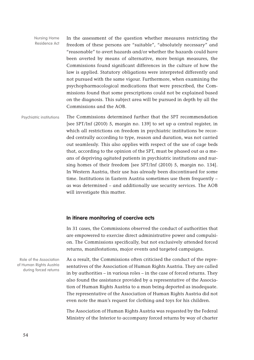In the assessment of the question whether measures restricting the freedom of these persons are "suitable", "absolutely necessary" and "reasonable" to avert hazards and/or whether the hazards could have been averted by means of alternative, more benign measures, the Commissions found significant differences in the culture of how the law is applied. Statutory obligations were interpreted differently and not pursued with the same vigour. Furthermore, when examining the psychopharmacological medications that were prescribed, the Commissions found that some prescriptions could not be explained based on the diagnosis. This subject area will be pursued in depth by all the Commissions and the AOB. Nursing Home Residence Act

The Commissions determined further that the SPT recommendation [see SPT/Inf (2010) 5, margin no. 139] to set up a central register, in which all restrictions on freedom in psychiatric institutions be recorded centrally according to type, reason and duration, was not carried out seamlessly. This also applies with respect of the use of cage beds that, according to the opinion of the SPT, must be phased out as a means of depriving agitated patients in psychiatric institutions and nursing homes of their freedom [see SPT/Inf (2010) 5, margin no. 134]. In Western Austria, their use has already been discontinued for some time. Institutions in Eastern Austria sometimes use them frequently – as was determined – and additionally use security services. The AOB will investigate this matter. Psychiatric institutions

#### **In itinere monitoring of coercive acts**

In 31 cases, the Commissions observed the conduct of authorities that are empowered to exercise direct administrative power and compulsion. The Commissions specifically, but not exclusively attended forced returns, manifestations, major events and targeted campaigns.

As a result, the Commissions often criticised the conduct of the representatives of the Association of Human Rights Austria. They are called in by authorities – in various roles – in the case of forced returns. They also found the assistance provided by a representative of the Association of Human Rights Austria to a man being deported as inadequate. The representative of the Association of Human Rights Austria did not even note the man's request for clothing and toys for his children.

The Association of Human Rights Austria was requested by the Federal Ministry of the Interior to accompany forced returns by way of charter

Role of the Association of Human Rights Austria during forced returns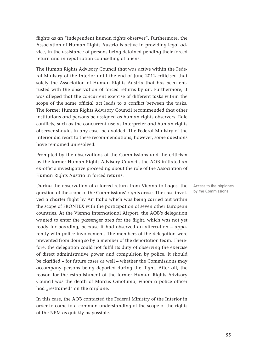flights as an "independent human rights observer". Furthermore, the Association of Human Rights Austria is active in providing legal advice, in the assistance of persons being detained pending their forced return and in repatriation counselling of aliens.

The Human Rights Advisory Council that was active within the Federal Ministry of the Interior until the end of June 2012 criticised that solely the Association of Human Rights Austria that has been entrusted with the observation of forced returns by air. Furthermore, it was alleged that the concurrent exercise of different tasks within the scope of the same official act leads to a conflict between the tasks. The former Human Rights Advisory Council recommended that other institutions and persons be assigned as human rights observers. Role conflicts, such as the concurrent use as interpreter and human rights observer should, in any case, be avoided. The Federal Ministry of the Interior did react to these recommendations; however, some questions have remained unresolved.

Prompted by the observations of the Commissions and the criticism by the former Human Rights Advisory Council, the AOB initiated an ex-officio investigative proceeding about the role of the Association of Human Rights Austria in forced returns.

During the observation of a forced return from Vienna to Lagos, the question of the scope of the Commissions' rights arose. The case involved a charter flight by Air Italia which was being carried out within the scope of FRONTEX with the participation of seven other European countries. At the Vienna International Airport, the AOB's delegation wanted to enter the passenger area for the flight, which was not yet ready for boarding, because it had observed an altercation – apparently with police involvement. The members of the delegation were prevented from doing so by a member of the deportation team. Therefore, the delegation could not fulfil its duty of observing the exercise of direct administrative power and compulsion by police. It should be clarified – for future cases as well – whether the Commissions may accompany persons being deported during the flight. After all, the reason for the establishment of the former Human Rights Advisory Council was the death of Marcus Omofuma, whom a police officer had "restrained" on the airplane.

In this case, the AOB contacted the Federal Ministry of the Interior in order to come to a common understanding of the scope of the rights of the NPM as quickly as possible.

Access to the airplanes by the Commissions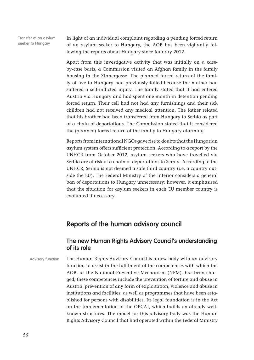Transfer of an asylum seeker to Hungary

In light of an individual complaint regarding a pending forced return of an asylum seeker to Hungary, the AOB has been vigilantly following the reports about Hungary since January 2012.

Apart from this investigative activity that was initially on a caseby-case basis, a Commission visited an Afghan family in the family housing in the Zinnergasse. The planned forced return of the family of five to Hungary had previously failed because the mother had suffered a self-inflicted injury. The family stated that it had entered Austria via Hungary and had spent one month in detention pending forced return. Their cell had not had any furnishings and their sick children had not received any medical attention. The father related that his brother had been transferred from Hungary to Serbia as part of a chain of deportations. The Commission stated that it considered the (planned) forced return of the family to Hungary alarming.

Reports from international NGOs gave rise to doubts that the Hungarian asylum system offers sufficient protection. According to a report by the UNHCR from October 2012, asylum seekers who have travelled via Serbia are at risk of a chain of deportations to Serbia. According to the UNHCR, Serbia is not deemed a safe third country (i.e. a country outside the EU). The Federal Ministry of the Interior considers a general ban of deportations to Hungary unnecessary; however, it emphasised that the situation for asylum seekers in each EU member country is evaluated if necessary.

# **Reports of the human advisory council**

# **The new Human Rights Advisory Council's understanding of its role**

Advisory function

The Human Rights Advisory Council is a new body with an advisory function to assist in the fulfilment of the competences with which the AOB, as the National Preventive Mechanism (NPM), has been charged; these competences include the prevention of torture and abuse in Austria, prevention of any form of exploitation, violence and abuse in institutions and facilities, as well as programmes that have been established for persons with disabilities. Its legal foundation is in the Act on the Implementation of the OPCAT, which builds on already wellknown structures. The model for this advisory body was the Human Rights Advisory Council that had operated within the Federal Ministry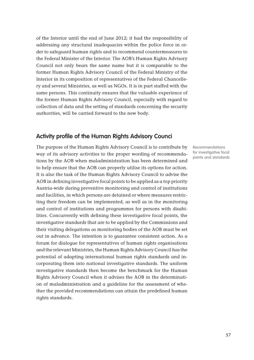of the Interior until the end of June 2012; it had the responsibility of addressing any structural inadequacies within the police force in order to safeguard human rights and to recommend countermeasures to the Federal Minister of the Interior. The AOB's Human Rights Advisory Council not only bears the same name but it is comparable to the former Human Rights Advisory Council of the Federal Ministry of the Interior in its composition of representatives of the Federal Chancellery and several Ministries, as well as NGOs. It is in part staffed with the same persons. This continuity ensures that the valuable experience of the former Human Rights Advisory Council, especially with regard to collection of data and the setting of standards concerning the security authorities, will be carried forward to the new body.

# **Activity profile of the Human Rights Advisory Counci**

The purpose of the Human Rights Advisory Council is to contribute by way of its advisory activities to the proper wording of recommendations by the AOB when maladministration has been determined and to help ensure that the AOB can properly utilise its options for action. It is also the task of the Human Rights Advisory Council to advise the AOB in defining investigative focal points to be applied as a top priority Austria-wide during preventive monitoring and control of institutions and facilities, in which persons are detained or where measures restricting their freedom can be implemented, as well as in the monitoring and control of institutions and programmes for persons with disabilities. Concurrently with defining these investigative focal points, the investigative standards that are to be applied by the Commissions and their visiting delegations as monitoring bodies of the AOB must be set out in advance. The intention is to guarantee consistent action. As a forum for dialogue for representatives of human rights organisations and the relevant Ministries, the Human Rights Advisory Council has the potential of adapting international human rights standards and incorporating them into national investigative standards. The uniform investigative standards then become the benchmark for the Human Rights Advisory Council when it advises the AOB in the determination of maladministration and a guideline for the assessment of whether the provided recommendations can attain the predefined human rights standards.

Recommendations for investigative focal points and standards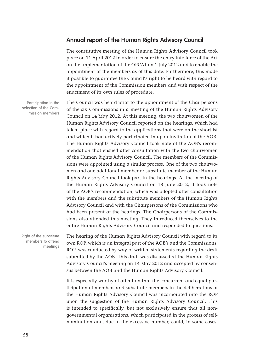## **Annual report of the Human Rights Advisory Council**

The constitutive meeting of the Human Rights Advisory Council took place on 11 April 2012 in order to ensure the entry into force of the Act on the Implementation of the OPCAT on 1 July 2012 and to enable the appointment of the members as of this date. Furthermore, this made it possible to guarantee the Council's right to be heard with regard to the appointment of the Commission members and with respect of the enactment of its own rules of procedure.

Participation in the selection of the Commission members

The Council was heard prior to the appointment of the Chairpersons of the six Commissions in a meeting of the Human Rights Advisory Council on 14 May 2012. At this meeting, the two chairwomen of the Human Rights Advisory Council reported on the hearings, which had taken place with regard to the applications that were on the shortlist and which it had actively participated in upon invitation of the AOB. The Human Rights Advisory Council took note of the AOB's recommendation that ensued after consultation with the two chairwomen of the Human Rights Advisory Council. The members of the Commissions were appointed using a similar process. One of the two chairwomen and one additional member or substitute member of the Human Rights Advisory Council took part in the hearings. At the meeting of the Human Rights Advisory Council on 18 June 2012, it took note of the AOB's recommendation, which was adopted after consultation with the members and the substitute members of the Human Rights Advisory Council and with the Chairpersons of the Commissions who had been present at the hearings. The Chairpersons of the Commissions also attended this meeting. They introduced themselves to the entire Human Rights Advisory Council and responded to questions.

Right of the substitute members to attend meetings

The hearing of the Human Rights Advisory Council with regard to its own ROP, which is an integral part of the AOB's and the Commissions' ROP, was conducted by way of written statements regarding the draft submitted by the AOB. This draft was discussed at the Human Rights Advisory Council's meeting on 14 May 2012 and accepted by consensus between the AOB and the Human Rights Advisory Council.

It is especially worthy of attention that the concurrent and equal participation of members and substitute members in the deliberations of the Human Rights Advisory Council was incorporated into the ROP upon the suggestion of the Human Rights Advisory Council. This is intended to specifically, but not exclusively ensure that all nongovernmental organisations, which participated in the process of selfnomination and, due to the excessive number, could, in some cases,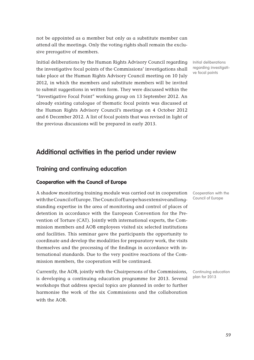not be appointed as a member but only as a substitute member can attend all the meetings. Only the voting rights shall remain the exclusive prerogative of members.

Initial deliberations by the Human Rights Advisory Council regarding the investigative focal points of the Commissions' investigations shall take place at the Human Rights Advisory Council meeting on 10 July 2012, in which the members and substitute members will be invited to submit suggestions in written form. They were discussed within the "Investigative Focal Point" working group on 13 September 2012. An already existing catalogue of thematic focal points was discussed at the Human Rights Advisory Council's meetings on 4 October 2012 and 6 December 2012. A list of focal points that was revised in light of the previous discussions will be prepared in early 2013.

# **Additional activities in the period under review**

# **Training and continuing education**

### **Cooperation with the Council of Europe**

A shadow monitoring training module was carried out in cooperation with the Council of Europe. The Council of Europe has extensive and longstanding expertise in the area of monitoring and control of places of detention in accordance with the European Convention for the Prevention of Torture (CAT). Jointly with international experts, the Commission members and AOB employees visited six selected institutions and facilities. This seminar gave the participants the opportunity to coordinate and develop the modalities for preparatory work, the visits themselves and the processing of the findings in accordance with international standards. Due to the very positive reactions of the Commission members, the cooperation will be continued.

Currently, the AOB, jointly with the Chairpersons of the Commissions, is developing a continuing education programme for 2013. Several workshops that address special topics are planned in order to further harmonise the work of the six Commissions and the collaboration with the AOB.

Cooperation with the Council of Europe

Continuing education plan for 2013

Initial deliberations regarding investigative focal points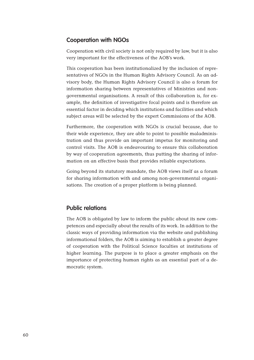# **Cooperation with NGOs**

Cooperation with civil society is not only required by law, but it is also very important for the effectiveness of the AOB's work.

This cooperation has been institutionalized by the inclusion of representatives of NGOs in the Human Rights Advisory Council. As an advisory body, the Human Rights Advisory Council is also a forum for information sharing between representatives of Ministries and nongovernmental organisations. A result of this collaboration is, for example, the definition of investigative focal points and is therefore an essential factor in deciding which institutions and facilities and which subject areas will be selected by the expert Commissions of the AOB.

Furthermore, the cooperation with NGOs is crucial because, due to their wide experience, they are able to point to possible maladministration and thus provide an important impetus for monitoring and control visits. The AOB is endeavouring to ensure this collaboration by way of cooperation agreements, thus putting the sharing of information on an effective basis that provides reliable expectations.

Going beyond its statutory mandate, the AOB views itself as a forum for sharing information with and among non-governmental organisations. The creation of a proper platform is being planned.

# **Public relations**

The AOB is obligated by law to inform the public about its new competences and especially about the results of its work. In addition to the classic ways of providing information via the website and publishing informational folders, the AOB is aiming to establish a greater degree of cooperation with the Political Science faculties at institutions of higher learning. The purpose is to place a greater emphasis on the importance of protecting human rights as an essential part of a democratic system.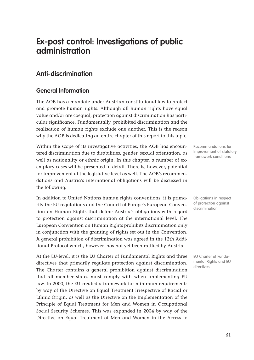# **Ex-post control: Investigations of public administration**

# **Anti-discrimination**

# **General Information**

The AOB has a mandate under Austrian constitutional law to protect and promote human rights. Although all human rights have equal value and/or are coequal, protection against discrimination has particular significance. Fundamentally, prohibited discrimination and the realisation of human rights exclude one another. This is the reason why the AOB is dedicating an entire chapter of this report to this topic.

Within the scope of its investigative activities, the AOB has encountered discrimination due to disabilities, gender, sexual orientation, as well as nationality or ethnic origin. In this chapter, a number of exemplary cases will be presented in detail. There is, however, potential for improvement at the legislative level as well. The AOB's recommendations and Austria's international obligations will be discussed in the following.

In addition to United Nations human rights conventions, it is primarily the EU regulations and the Council of Europe's European Convention on Human Rights that define Austria's obligations with regard to protection against discrimination at the international level. The European Convention on Human Rights prohibits discrimination only in conjunction with the granting of rights set out in the Convention. A general prohibition of discrimination was agreed in the 12th Additional Protocol which, however, has not yet been ratified by Austria.

At the EU-level, it is the EU Charter of Fundamental Rights and three directives that primarily regulate protection against discrimination. The Charter contains a general prohibition against discrimination that all member states must comply with when implementing EU law. In 2000, the EU created a framework for minimum requirements by way of the Directive on Equal Treatment Irrespective of Racial or Ethnic Origin, as well as the Directive on the Implementation of the Principle of Equal Treatment for Men and Women in Occupational Social Security Schemes. This was expanded in 2004 by way of the Directive on Equal Treatment of Men and Women in the Access to

Recommendations for improvement of statutory framework conditions

Obligations in respect of protection against discrimination

EU Charter of Fundamental Rights and EU directives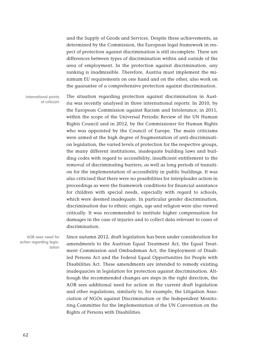and the Supply of Goods and Services. Despite these achievements, as determined by the Commission, the European legal framework in respect of protection against discrimination is still incomplete. There are differences between types of discrimination within and outside of the area of employment. In the protection against discrimination, any ranking is inadmissible. Therefore, Austria must implement the minimum EU requirements on one hand and on the other, also work on the guarantee of a comprehensive protection against discrimination.

The situation regarding protection against discrimination in Austria was recently analysed in three international reports: In 2010, by the European Commission against Racism and Intolerance; in 2011, within the scope of the Universal Periodic Review of the UN Human Rights Council and in 2012, by the Commissioner for Human Rights who was appointed by the Council of Europe. The main criticisms were aimed at the high degree of fragmentation of anti-discrimination legislation, the varied levels of protection for the respective groups, the many different institutions, inadequate building laws and building codes with regard to accessibility, insufficient entitlement to the removal of discriminating barriers, as well as long periods of transition for the implementation of accessibility in public buildings. It was also criticised that there were no possibilities for interpleader action in proceedings as were the framework conditions for financial assistance for children with special needs, especially with regard to schools, which were deemed inadequate. In particular gender discrimination, discrimination due to ethnic origin, age and religion were also viewed critically. It was recommended to institute higher compensation for damages in the case of injuries and to collect data relevant to cases of discrimination. International points of criticism

AOB sees need for action regarding legislation

Since autumn 2012, draft legislation has been under consideration for amendments to the Austrian Equal Treatment Act, the Equal Treatment Commission and Ombudsman Act, the Employment of Disabled Persons Act and the Federal Equal Opportunities for People with Disabilities Act. These amendments are intended to remedy existing inadequacies in legislation for protection against discrimination. Although the recommended changes are steps in the right direction, the AOB sees additional need for action in the current draft legislation and other regulations, similarly to, for example, the Litigation Association of NGOs against Discrimination or the Independent Monitoring Committee for the Implementation of the UN Convention on the Rights of Persons with Disabilities.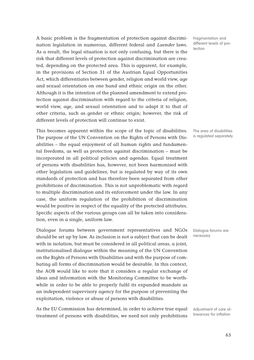A basic problem is the fragmentation of protection against discrimination legislation in numerous, different federal and Laender laws. As a result, the legal situation is not only confusing, but there is the risk that different levels of protection against discrimination are created, depending on the protected area. This is apparent, for example, in the provisions of Section 31 of the Austrian Equal Opportunities Act, which differentiates between gender, religion and world view, age and sexual orientation on one hand and ethnic origin on the other. Although it is the intention of the planned amendment to extend protection against discrimination with regard to the criteria of religion, world view, age, and sexual orientation and to adapt it to that of other criteria, such as gender or ethnic origin; however, the risk of different levels of protection will continue to exist.

This becomes apparent within the scope of the topic of disabilities. The purpose of the UN Convention on the Rights of Persons with Disabilities – the equal enjoyment of all human rights and fundamental freedoms, as well as protection against discrimination – must be incorporated in all political policies and agendas. Equal treatment of persons with disabilities has, however, not been harmonised with other legislation and guidelines, but is regulated by way of its own standards of protection and has therefore been separated from other prohibitions of discrimination. This is not unproblematic with regard to multiple discrimination and its enforcement under the law. In any case, the uniform regulation of the prohibition of discrimination would be positive in respect of the equality of the protected attributes. Specific aspects of the various groups can all be taken into consideration, even in a single, uniform law.

Dialogue forums between government representatives and NGOs should be set up by law. As inclusion is not a subject that can be dealt with in isolation, but must be considered in all political areas, a joint, institutionalised dialogue within the meaning of the UN Convention on the Rights of Persons with Disabilities and with the purpose of combating all forms of discrimination would be desirable. In this context, the AOB would like to note that it considers a regular exchange of ideas and information with the Monitoring Committee to be worthwhile in order to be able to properly fulfil its expanded mandate as an independent supervisory agency for the purpose of preventing the exploitation, violence or abuse of persons with disabilities.

As the EU Commission has determined, in order to achieve true equal treatment of persons with disabilities, we need not only prohibitions Fragmentation and different levels of protection

The area of disabilities is regulated separately

Dialogue forums are necessary

Adjustment of care allowances for inflation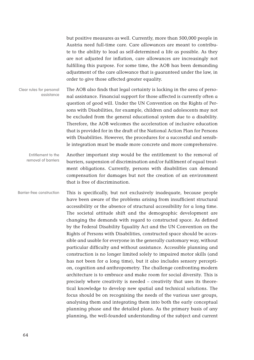but positive measures as well. Currently, more than 500,000 people in Austria need full-time care. Care allowances are meant to contribute to the ability to lead as self-determined a life as possible. As they are not adjusted for inflation, care allowances are increasingly not fulfilling this purpose. For some time, the AOB has been demanding adjustment of the care allowance that is guaranteed under the law, in order to give those affected greater equality.

The AOB also finds that legal certainty is lacking in the area of personal assistance. Financial support for those affected is currently often a question of good will. Under the UN Convention on the Rights of Persons with Disabilities, for example, children and adolescents may not be excluded from the general educational system due to a disability. Therefore, the AOB welcomes the acceleration of inclusive education that is provided for in the draft of the National Action Plan for Persons with Disabilities. However, the procedures for a successful and sensible integration must be made more concrete and more comprehensive. Clear rules for personal assistance

Another important step would be the entitlement to the removal of barriers, suspension of discrimination and/or fulfilment of equal treatment obligations. Currently, persons with disabilities can demand compensation for damages but not the creation of an environment that is free of discrimination. Entitlement to the removal of barriers

This is specifically, but not exclusively inadequate, because people have been aware of the problems arising from insufficient structural accessibility or the absence of structural accessibility for a long time. The societal attitude shift and the demographic development are changing the demands with regard to constructed space. As defined by the Federal Disability Equality Act and the UN Convention on the Rights of Persons with Disabilities, constructed space should be accessible and usable for everyone in the generally customary way, without particular difficulty and without assistance. Accessible planning and construction is no longer limited solely to impaired motor skills (and has not been for a long time), but it also includes sensory perception, cognition and anthropometry. The challenge confronting modern architecture is to embrace and make room for social diversity. This is precisely where creativity is needed – creativity that uses its theoretical knowledge to develop new spatial and technical solutions. The focus should be on recognising the needs of the various user groups, analysing them and integrating them into both the early conceptual planning phase and the detailed plans. As the primary basis of any planning, the well-founded understanding of the subject and current Barrier-free construction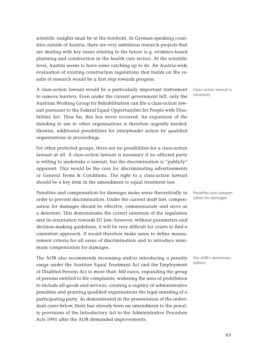scientific insights must be at the forefront. In German-speaking countries outside of Austria, there are very ambitious research projects that are dealing with key issues relating to the future (e.g. evidence-based planning and construction in the health care sector). At the scientific level, Austria seems to have some catching up to do. An Austria-wide evaluation of existing construction regulations that builds on the results of research would be a first step towards progress.

A class-action lawsuit would be a particularly important instrument to remove barriers. Even under the current government bill, only the Austrian Working Group for Rehabilitation can file a class-action lawsuit pursuant to the Federal Equal Opportunities for People with Disabilities Act. Thus far, this has never occurred. An expansion of the standing to sue to other organisations is therefore urgently needed; likewise, additional possibilities for interpleader action by qualified organisations in proceedings.

For other protected groups, there are no possibilities for a class-action lawsuit at all. A class-action lawsuit is necessary if no affected party is willing to undertake a lawsuit, but the discrimination is "publicly" apparent. This would be the case for discriminating advertisements or General Terms & Conditions. The right to a class-action lawsuit should be a key item in the amendment to equal treatment law.

Penalties and compensation for damages make sense theoretically in order to prevent discrimination. Under the current draft law, compensation for damages should be effective, commensurate and serve as a deterrent. This demonstrates the correct intention of the regulation and its orientation towards EU law; however, without parameters and decision-making guidelines, it will be very difficult for courts to find a consistent approach. It would therefore make sense to define measurement criteria for all areas of discrimination and to introduce minimum compensation for damages.

The AOB also recommends increasing and/or introducing a penalty range under the Austrian Equal Treatment Act and the Employment of Disabled Persons Act to more than 360 euros, expanding the group of persons entitled to file complaints, widening the area of prohibition to include all goods and services, creating a registry of administrative penalties and granting qualified organisations the legal standing of a participating party. As demonstrated in the presentation of the individual cases below, there has already been an amendment to the penalty provisions of the Introductory Act to the Administrative Procedure Acts 1991 after the AOB demanded improvements.

Class-action lawsuit is necessary

Penalties and compensation for damages

The AOB's recommendations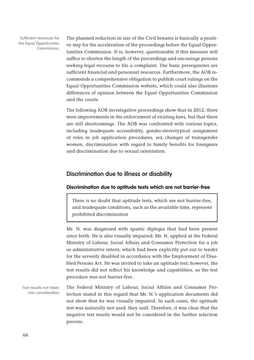Sufficient resources for the Equal Opportunities Commission;

The planned reduction in size of the Civil Senates is basically a positive step for the acceleration of the proceedings before the Equal Opportunities Commission. It is, however, questionable if this measure will suffice to shorten the length of the proceedings and encourage persons seeking legal recourse to file a complaint. The basic prerequisites are sufficient financial and personnel resources. Furthermore, the AOB recommends a comprehensive obligation to publish court rulings on the Equal Opportunities Commission website, which could also illustrate differences of opinion between the Equal Opportunities Commission and the courts.

The following AOB investigative proceedings show that in 2012, there were improvements in the enforcement of existing laws, but that there are still shortcomings. The AOB was confronted with various topics, including inadequate accessibility, gender-stereotypical assignment of roles in job application procedures, sex changes of transgender women, discrimination with regard to family benefits for foreigners and discrimination due to sexual orientation.

# **Discrimination due to illness or disability**

#### **Discrimination due to aptitude tests which are not barrier-free**

There is no doubt that aptitude tests, which are not barrier-free, and inadequate conditions, such as the available time, represent prohibited discrimination

Mr. N. was diagnosed with spastic diplegia that had been present since birth. He is also visually impaired. Mr. N. applied at the Federal Ministry of Labour, Social Affairs and Consumer Protection for a job as administrative intern, which had been explicitly put out to tender for the severely disabled in accordance with the Employment of Disabled Persons Act. He was invited to take an aptitude test; however, the test results did not reflect his knowledge and capabilities, as the test procedure was not barrier-free.

The Federal Ministry of Labour, Social Affairs and Consumer Protection stated in this regard that Mr. N.'s application documents did not show that he was visually impaired. In such cases, the aptitude test was naturally not used, they said. Therefore, it was clear that the negative test results would not be considered in the further selection process. Test results not taken into consideration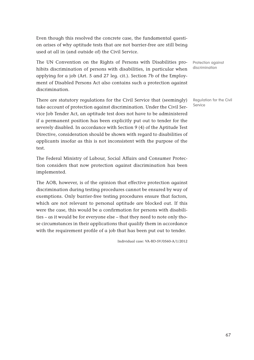Even though this resolved the concrete case, the fundamental question arises of why aptitude tests that are not barrier-free are still being used at all in (and outside of) the Civil Service.

The UN Convention on the Rights of Persons with Disabilities prohibits discrimination of persons with disabilities, in particular when applying for a job (Art. 5 and 27 leg. cit.). Section 7b of the Employment of Disabled Persons Act also contains such a protection against discrimination.

There are statutory regulations for the Civil Service that (seemingly) take account of protection against discrimination. Under the Civil Service Job Tender Act, an aptitude test does not have to be administered if a permanent position has been explicitly put out to tender for the severely disabled. In accordance with Section 9 (4) of the Aptitude Test Directive, consideration should be shown with regard to disabilities of applicants insofar as this is not inconsistent with the purpose of the test.

The Federal Ministry of Labour, Social Affairs and Consumer Protection considers that now protection against discrimination has been implemented.

The AOB, however, is of the opinion that effective protection against discrimination during testing procedures cannot be ensured by way of exemptions. Only barrier-free testing procedures ensure that factors, which are not relevant to personal aptitude are blocked out. If this were the case, this would be a confirmation for persons with disabilities – as it would be for everyone else – that they need to note only those circumstances in their applications that qualify them in accordance with the requirement profile of a job that has been put out to tender.

Individual case: VA-BD-SV/0560-A/1/2012

Protection against discrimination

Regulation for the Civil Service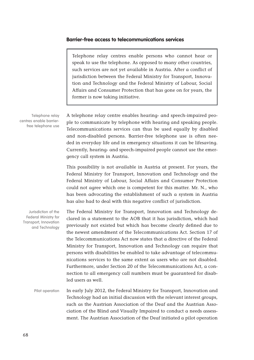### **Barrier-free access to telecommunications services**

Telephone relay centres enable persons who cannot hear or speak to use the telephone. As opposed to many other countries, such services are not yet available in Austria. After a conflict of jurisdiction between the Federal Ministry for Transport, Innovation and Technology and the Federal Ministry of Labour, Social Affairs and Consumer Protection that has gone on for years, the former is now taking initiative.

Telephone relay centres enable barrierfree telephone use

A telephone relay centre enables hearing- and speech-impaired people to communicate by telephone with hearing and speaking people. Telecommunications services can thus be used equally by disabled and non-disabled persons. Barrier-free telephone use is often needed in everyday life and in emergency situations it can be lifesaving. Currently, hearing- and speech-impaired people cannot use the emergency call system in Austria.

This possibility is not available in Austria at present. For years, the Federal Ministry for Transport, Innovation and Technology and the Federal Ministry of Labour, Social Affairs and Consumer Protection could not agree which one is competent for this matter. Mr. N., who has been advocating the establishment of such a system in Austria has also had to deal with this negative conflict of jurisdiction.

Jurisdiction of the Federal Ministry for Transport, Innovation and Technology

The Federal Ministry for Transport, Innovation and Technology declared in a statement to the AOB that it has jurisdiction, which had previously not existed but which has become clearly defined due to the newest amendment of the Telecommunications Act. Section 17 of the Telecommunications Act now states that a directive of the Federal Ministry for Transport, Innovation and Technology can require that persons with disabilities be enabled to take advantage of telecommunications services to the same extent as users who are not disabled. Furthermore, under Section 20 of the Telecommunications Act, a connection to all emergency call numbers must be guaranteed for disabled users as well.

In early July 2012, the Federal Ministry for Transport, Innovation and Technology had an initial discussion with the relevant interest groups, such as the Austrian Association of the Deaf and the Austrian Association of the Blind and Visually Impaired to conduct a needs assessment. The Austrian Association of the Deaf initiated a pilot operation Pilot operation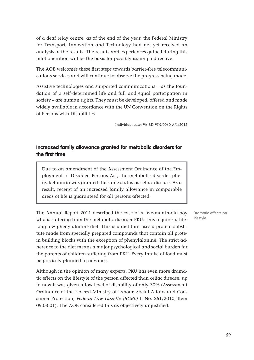of a deaf relay centre; as of the end of the year, the Federal Ministry for Transport, Innovation and Technology had not yet received an analysis of the results. The results and experiences gained during this pilot operation will be the basis for possibly issuing a directive.

The AOB welcomes these first steps towards barrier-free telecommunications services and will continue to observe the progress being made.

Assistive technologies and supported communications – as the foundation of a self-determined life and full and equal participation in society – are human rights. They must be developed, offered and made widely available in accordance with the UN Convention on the Rights of Persons with Disabilities.

Individual case: VA-BD-VIN/0060-A/1/2012

# **Increased family allowance granted for metabolic disorders for the first time**

Due to an amendment of the Assessment Ordinance of the Employment of Disabled Persons Act, the metabolic disorder phenylketonuria was granted the same status as celiac disease. As a result, receipt of an increased family allowance in comparable areas of life is guaranteed for all persons affected.

The Annual Report 2011 described the case of a five-month-old boy who is suffering from the metabolic disorder PKU. This requires a lifelong low-phenylalanine diet. This is a diet that uses a protein substitute made from specially prepared compounds that contain all protein building blocks with the exception of phenylalanine. The strict adherence to the diet means a major psychological and social burden for the parents of children suffering from PKU. Every intake of food must be precisely planned in advance.

Although in the opinion of many experts, PKU has even more dramatic effects on the lifestyle of the person affected than celiac disease, up to now it was given a low level of disability of only 30% (Assessment Ordinance of the Federal Ministry of Labour, Social Affairs and Consumer Protection, Federal Law Gazette [BGBl.] II No. 261/2010, Item 09.03.01). The AOB considered this as objectively unjustified.

Dramatic effects on lifestyle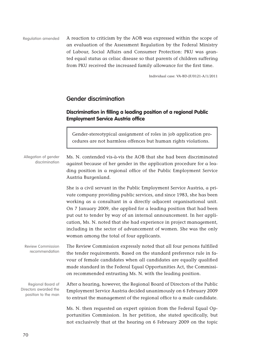A reaction to criticism by the AOB was expressed within the scope of an evaluation of the Assessment Regulation by the Federal Ministry of Labour, Social Affairs and Consumer Protection: PKU was granted equal status as celiac disease so that parents of children suffering from PKU received the increased family allowance for the first time. Regulation amended

Individual case: VA-BD-JF/0121-A/1/2011

## **Gender discrimination**

## **Discrimination in filling a leading position of a regional Public Employment Service Austria office**

Gender-stereotypical assignment of roles in job application procedures are not harmless offences but human rights violations.

Ms. N. contended vis-à-vis the AOB that she had been discriminated against because of her gender in the application procedure for a leading position in a regional office of the Public Employment Service Austria Burgenland. She is a civil servant in the Public Employment Service Austria, a pri-Allegation of gender discrimination

vate company providing public services, and since 1983, she has been working as a consultant in a directly adjacent organisational unit. On 7 January 2009, she applied for a leading position that had been put out to tender by way of an internal announcement. In her application, Ms. N. noted that she had experience in project management, including in the sector of advancement of women. She was the only woman among the total of four applicants.

The Review Commission expressly noted that all four persons fulfilled the tender requirements. Based on the standard preference rule in favour of female candidates when all candidates are equally qualified made standard in the Federal Equal Opportunities Act, the Commission recommended entrusting Ms. N. with the leading position. Review Commission recommendation

After a hearing, however, the Regional Board of Directors of the Public Employment Service Austria decided unanimously on 6 February 2009 to entrust the management of the regional office to a male candidate. Regional Board of Directors awarded the position to the man

> Ms. N. then requested an expert opinion from the Federal Equal Opportunities Commission. In her petition, she stated specifically, but not exclusively that at the hearing on 6 February 2009 on the topic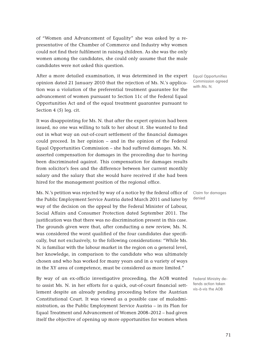of "Women and Advancement of Equality" she was asked by a representative of the Chamber of Commerce and Industry why women could not find their fulfilment in raising children. As she was the only women among the candidates, she could only assume that the male candidates were not asked this question.

After a more detailed examination, it was determined in the expert opinion dated 21 January 2010 that the rejection of Ms. N.'s application was a violation of the preferential treatment guarantee for the advancement of women pursuant to Section 11c of the Federal Equal Opportunities Act and of the equal treatment guarantee pursuant to Section 4 (5) leg. cit.

It was disappointing for Ms. N. that after the expert opinion had been issued, no one was willing to talk to her about it. She wanted to find out in what way an out-of-court settlement of the financial damages could proceed. In her opinion – and in the opinion of the Federal Equal Opportunities Commission – she had suffered damages. Ms. N. asserted compensation for damages in the proceeding due to having been discriminated against. This compensation for damages results from solicitor's fees and the difference between her current monthly salary and the salary that she would have received if she had been hired for the management position of the regional office.

Ms. N.'s petition was rejected by way of a notice by the federal office of the Public Employment Service Austria dated March 2011 and later by way of the decision on the appeal by the Federal Minister of Labour, Social Affairs and Consumer Protection dated September 2011. The justification was that there was no discrimination present in this case. The grounds given were that, after conducting a new review, Ms. N. was considered the worst qualified of the four candidates due specifically, but not exclusively, to the following considerations: "While Ms. N. is familiar with the labour market in the region on a general level, her knowledge, in comparison to the candidate who was ultimately chosen and who has worked for many years and in a variety of ways in the XY area of competence, must be considered as more limited."

By way of an ex-officio investigative proceeding, the AOB wanted to assist Ms. N. in her efforts for a quick, out-of-court financial settlement despite an already pending proceeding before the Austrian Constitutional Court. It was viewed as a possible case of maladministration, as the Public Employment Service Austria – in its Plan for Equal Treatment and Advancement of Women 2008–2012 – had given itself the objective of opening up more opportunities for women when

Equal Opportunities Commission agreed with Ms. N.

Claim for damages denied

Federal Ministry defends action taken vis-à-vis the AOB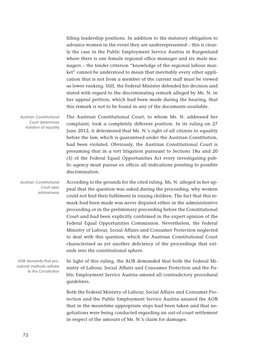filling leadership positions. In addition to the statutory obligation to advance women in the event they are underrepresented – this is clearly the case in the Public Employment Service Austria in Burgenland where there is one female regional office manager and six male managers – the tender criterion "knowledge of the regional labour market" cannot be understood to mean that inevitably every other application that is not from a member of the current staff must be viewed as lower ranking. Still, the Federal Minister defended his decision and stated with regard to the discriminating remark alleged by Ms. N. in her appeal petition, which had been made during the hearing, that this remark is not to be found in any of the documents available.

The Austrian Constitutional Court, to whom Ms. N. addressed her complaint, took a completely different position. In its ruling on 27 June 2012, it determined that Ms. N.'s right of all citizens to equality before the law, which is guaranteed under the Austrian Constitution, had been violated. Obviously, the Austrian Constitutional Court is presuming that in a tort litigation pursuant to Sections 18a and 20 (3) of the Federal Equal Opportunities Act every investigating public agency must pursue ex officio all indications pointing to possible discrimination. Austrian Constitutional Court determines violation of equality

According to the grounds for the cited ruling, Ms. N. alleged in her appeal that the question was asked during the proceeding, why women could not find their fulfilment in raising children. The fact that this remark had been made was never disputed either in the administrative proceeding or in the preliminary proceeding before the Constitutional Court and had been explicitly confirmed in the expert opinion of the Federal Equal Opportunities Commission. Nevertheless, the Federal Ministry of Labour, Social Affairs and Consumer Protection neglected to deal with this question, which the Austrian Constitutional Court characterised as yet another deficiency of the proceedings that extends into the constitutional sphere. Austrian Constitutional Court sees arbitrariness

AOB demands that procedural methods adhere to the Constitution

In light of this ruling, the AOB demanded that both the Federal Ministry of Labour, Social Affairs and Consumer Protection and the Public Employment Service Austria amend all contradictory procedural guidelines.

Both the Federal Ministry of Labour, Social Affairs and Consumer Protection and the Public Employment Service Austria assured the AOB that in the meantime appropriate steps had been taken and that negotiations were being conducted regarding an out-of-court settlement in respect of the amount of Ms. N.'s claim for damages.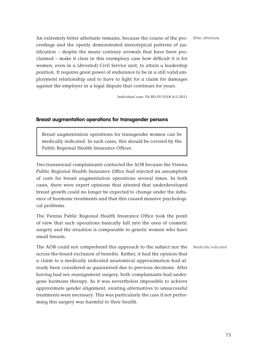Bitter aftertaste

An extremely bitter aftertaste remains, because the course of the proceedings and the openly demonstrated stereotypical patterns of justification – despite the many contrary avowals that have been proclaimed – make it clear in this exemplary case how difficult it is for women, even in a (divested) Civil Service unit, to attain a leadership position. It requires great power of endurance to be in a still valid employment relationship and to have to fight for a claim for damages against the employer in a legal dispute that continues for years.

Individual case: VA-BD-SV/1018-A/1/2011

#### **Breast augmentation operations for transgender persons**

Breast augmentation operations for transgender women can be medically indicated. In such cases, this should be covered by the Public Regional Health Insurance Offices.

Two transsexual complainants contacted the AOB because the Vienna Public Regional Health Insurance Office had rejected an assumption of costs for breast augmentation operations several times. In both cases, there were expert opinions that attested that underdeveloped breast growth could no longer be expected to change under the influence of hormone treatments and that this caused massive psychological problems.

The Vienna Public Regional Health Insurance Office took the point of view that such operations basically fall into the area of cosmetic surgery and the situation is comparable to genetic women who have small breasts.

The AOB could not comprehend this approach to the subject nor the across-the-board exclusion of benefits. Rather, it had the opinion that a claim to a medically indicated anatomical approximation had already been considered as guaranteed due to previous decisions. After having had sex reassignment surgery, both complainants had undergone hormone therapy. As it was nevertheless impossible to achieve approximate gender alignment, existing alternatives to unsuccessful treatments were necessary. This was particularly the case if not performing this surgery was harmful to their health.

Medically indicated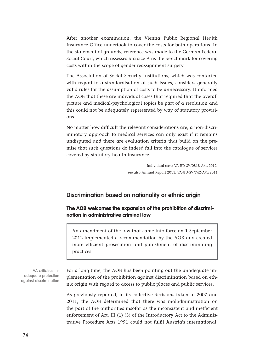After another examination, the Vienna Public Regional Health Insurance Office undertook to cover the costs for both operations. In the statement of grounds, reference was made to the German Federal Social Court, which assesses bra size A as the benchmark for covering costs within the scope of gender reassignment surgery.

The Association of Social Security Institutions, which was contacted with regard to a standardisation of such issues, considers generally valid rules for the assumption of costs to be unnecessary. It informed the AOB that these are individual cases that required that the overall picture and medical-psychological topics be part of a resolution and this could not be adequately represented by way of statutory provisions.

No matter how difficult the relevant considerations are, a non-discriminatory approach to medical services can only exist if it remains undisputed and there are evaluation criteria that build on the premise that such questions do indeed fall into the catalogue of services covered by statutory health insurance.

> Individual case: VA-BD-SV/0818-A/1/2012; see also Annual Report 2011, VA-BD-SV/742-A/1/2011

## **Discrimination based on nationality or ethnic origin**

#### **The AOB welcomes the expansion of the prohibition of discrimination in administrative criminal law**

An amendment of the law that came into force on 1 September 2012 implemented a recommendation by the AOB and created more efficient prosecution and punishment of discriminating practices.

VA criticises inadequate protection against discrimination

For a long time, the AOB has been pointing out the unadequate implementation of the prohibition against discrimination based on ethnic origin with regard to access to public places and public services.

As previously reported, in its collective decisions taken in 2007 and 2011, the AOB determined that there was maladministration on the part of the authorities insofar as the inconsistent and inefficient enforcement of Art. III (1) (3) of the Introductory Act to the Administrative Procedure Acts 1991 could not fulfil Austria's international,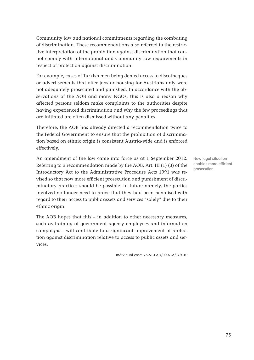Community law and national commitments regarding the combating of discrimination. These recommendations also referred to the restrictive interpretation of the prohibition against discrimination that cannot comply with international and Community law requirements ín respect of protection against discrimination.

For example, cases of Turkish men being denied access to discotheques or advertisements that offer jobs or housing for Austrians only were not adequately prosecuted and punished. In accordance with the observations of the AOB and many NGOs, this is also a reason why affected persons seldom make complaints to the authorities despite having experienced discrimination and why the few proceedings that are initiated are often dismissed without any penalties.

Therefore, the AOB has already directed a recommendation twice to the Federal Government to ensure that the prohibition of discrimination based on ethnic origin is consistent Austria-wide and is enforced effectively.

An amendment of the law came into force as at 1 September 2012. Referring to a recommendation made by the AOB, Art. III (1) (3) of the Introductory Act to the Administrative Procedure Acts 1991 was revised so that now more efficient prosecution and punishment of discriminatory practices should be possible. In future namely, the parties involved no longer need to prove that they had been penalised with regard to their access to public assets and services "solely" due to their ethnic origin.

The AOB hopes that this – in addition to other necessary measures, such as training of government agency employees and information campaigns – will contribute to a significant improvement of protection against discrimination relative to access to public assets and services.

Individual case: VA-ST-LAD/0007-A/1/2010

New legal situation enables more efficient prosecution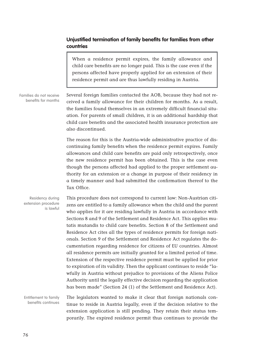#### **Unjustified termination of family benefits for families from other countries**

When a residence permit expires, the family allowance and child care benefits are no longer paid. This is the case even if the persons affected have properly applied for an extension of their residence permit and are thus lawfully residing in Austria.

Several foreign families contacted the AOB, because they had not received a family allowance for their children for months. As a result, the families found themselves in an extremely difficult financial situation. For parents of small children, it is an additional hardship that child care benefits and the associated health insurance protection are also discontinued. Families do not receive benefits for months

> The reason for this is the Austria-wide administrative practice of discontinuing family benefits when the residence permit expires. Family allowances and child care benefits are paid only retrospectively, once the new residence permit has been obtained. This is the case even though the persons affected had applied to the proper settlement authority for an extension or a change in purpose of their residency in a timely manner and had submitted the confirmation thereof to the Tax Office.

This procedure does not correspond to current law: Non-Austrian citizens are entitled to a family allowance when the child and the parent who applies for it are residing lawfully in Austria in accordance with Sections 8 and 9 of the Settlement and Residence Act. This applies mutatis mutandis to child care benefits. Section 8 of the Settlement and Residence Act cites all the types of residence permits for foreign nationals. Section 9 of the Settlement and Residence Act regulates the documentation regarding residence for citizens of EU countries. Almost all residence permits are initially granted for a limited period of time. Extension of the respective residence permit must be applied for prior to expiration of its validity. Then the applicant continues to reside "lawfully in Austria without prejudice to provisions of the Aliens Police Authority until the legally effective decision regarding the application has been made" (Section 24 (1) of the Settlement and Residence Act). Residency during extension procedure is lawful

The legislators wanted to make it clear that foreign nationals continue to reside in Austria legally, even if the decision relative to the extension application is still pending. They retain their status temporarily. The expired residence permit thus continues to provide the Entitlement to family benefits continues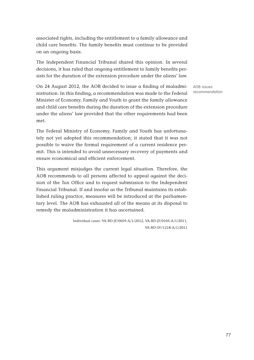associated rights, including the entitlement to a family allowance and child care benefits. The family benefits must continue to be provided on an ongoing basis.

The Independent Financial Tribunal shared this opinion. In several decisions, it has ruled that ongoing entitlement to family benefits persists for the duration of the extension procedure under the aliens' law.

On 24 August 2012, the AOB decided to issue a finding of maladministration. In this finding, a recommendation was made to the Federal Minister of Economy, Family and Youth to grant the family allowance and child care benefits during the duration of the extension procedure under the aliens' law provided that the other requirements had been met.

The Federal Ministry of Economy, Family and Youth has unfortunately not yet adopted this recommendation; it stated that it was not possible to waive the formal requirement of a current residence permit. This is intended to avoid unnecessary recovery of payments and ensure economical and efficient enforcement.

This argument misjudges the current legal situation. Therefore, the AOB recommends to all persons affected to appeal against the decision of the Tax Office and to request submission to the Independent Financial Tribunal. If and insofar as the Tribunal maintains its established ruling practice, measures will be introduced at the parliamentary level. The AOB has exhausted all of the means at its disposal to remedy the maladministration it has ascertained.

> Individual cases: VA-BD-JF/0059-A/1/2012, VA-BD-JF/0105-A/1/2011, VA-BD-SV/1218-A/1/2011

AOB issues recommendation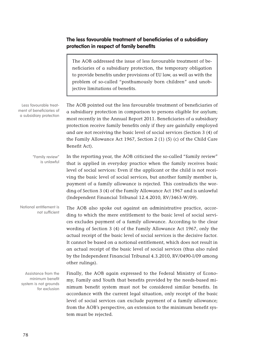#### **The less favourable treatment of beneficiaries of a subsidiary protection in respect of family benefits**

| The AOB addressed the issue of less favourable treatment of be-     |
|---------------------------------------------------------------------|
| neficiaries of a subsidiary protection, the temporary obligation    |
| to provide benefits under provisions of EU law, as well as with the |
| problem of so-called "posthumously born children" and unob-         |
| jective limitations of benefits.                                    |

The AOB pointed out the less favourable treatment of beneficiaries of a subsidiary protection in comparison to persons eligible for asylum; most recently in the Annual Report 2011. Beneficiaries of a subsidiary protection receive family benefits only if they are gainfully employed and are not receiving the basic level of social services (Section 3 (4) of the Family Allowance Act 1967, Section 2 (1) (5) (c) of the Child Care Benefit Act). In the reporting year, the AOB criticised the so-called "family review" Less favourable treatment of beneficiaries of a subsidiary protection "Family review" is unlawful

that is applied in everyday practice when the family receives basic level of social services: Even if the applicant or the child is not receiving the basic level of social services, but another family member is, payment of a family allowance is rejected. This contradicts the wording of Section 3 (4) of the Family Allowance Act 1967 and is unlawful (Independent Financial Tribunal 12.4.2010, RV/3463-W/09).

The AOB also spoke out against an administrative practice, according to which the mere entitlement to the basic level of social services excludes payment of a family allowance. According to the clear wording of Section 3 (4) of the Family Allowance Act 1967, only the actual receipt of the basic level of social services is the decisive factor. It cannot be based on a notional entitlement, which does not result in an actual receipt of the basic level of social services (thus also ruled by the Independent Financial Tribunal 4.3.2010, RV/0490-I/09 among other rulings). Notional entitlement is not sufficient

Assistance from the minimum benefit system is not grounds for exclusion Finally, the AOB again expressed to the Federal Ministry of Economy, Family and Youth that benefits provided by the needs-based minimum benefit system must not be considered similar benefits. In accordance with the current legal situation, only receipt of the basic level of social services can exclude payment of a family allowance; from the AOB's perspective, an extension to the minimum benefit system must be rejected.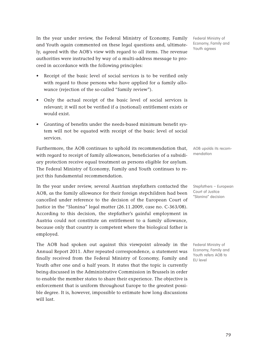In the year under review, the Federal Ministry of Economy, Family and Youth again commented on these legal questions and, ultimately, agreed with the AOB's view with regard to all items. The revenue authorities were instructed by way of a multi-address message to proceed in accordance with the following principles:

- Receipt of the basic level of social services is to be verified only with regard to those persons who have applied for a family allowance (rejection of the so-called "family review").
- Only the actual receipt of the basic level of social services is relevant; it will not be verified if a (notional) entitlement exists or would exist.
- Granting of benefits under the needs-based minimum benefit system will not be equated with receipt of the basic level of social services.

Furthermore, the AOB continues to uphold its recommendation that, with regard to receipt of family allowances, beneficiaries of a subsidiary protection receive equal treatment as persons eligible for asylum. The Federal Ministry of Economy, Family and Youth continues to reject this fundamental recommendation.

In the year under review, several Austrian stepfathers contacted the AOB, as the family allowance for their foreign stepchildren had been cancelled under reference to the decision of the European Court of Justice in the "Slanina" legal matter (26.11.2009, case no. C-363/08). According to this decision, the stepfather's gainful employment in Austria could not constitute an entitlement to a family allowance, because only that country is competent where the biological father is employed.

The AOB had spoken out against this viewpoint already in the Annual Report 2011. After repeated correspondence, a statement was finally received from the Federal Ministry of Economy, Family and Youth after one and a half years. It states that the topic is currently being discussed in the Administrative Commission in Brussels in order to enable the member states to share their experience. The objective is enforcement that is uniform throughout Europe to the greatest possible degree. It is, however, impossible to estimate how long discussions will last.

Federal Ministry of Economy, Family and Youth agrees

AOB upolds its recommendation

Stepfathers – European Court of Justice "Slanina" decision

Federal Ministry of Economy, Family and Youth refers AOB to EU level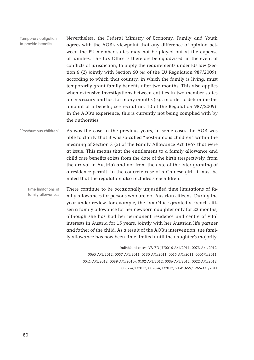| Temporary obligation<br>to provide benefits | Nevertheless, the Federal Ministry of Economy, Family and Youth<br>agrees with the AOB's viewpoint that any difference of opinion bet-<br>ween the EU member states may not be played out at the expense<br>of families. The Tax Office is therefore being advised, in the event of<br>conflicts of jurisdiction, to apply the requirements under EU law (Sec-<br>tion 6 (2) jointly with Section 60 (4) of the EU Regulation 987/2009),<br>according to which that country, in which the family is living, must<br>temporarily grant family benefits after two months. This also applies<br>when extensive investigations between entities in two member states<br>are necessary and last for many months (e.g. in order to determine the<br>amount of a benefit; see recital no. 10 of the Regulation 987/2009).<br>In the AOB's experience, this is currently not being complied with by<br>the authorities. |
|---------------------------------------------|-----------------------------------------------------------------------------------------------------------------------------------------------------------------------------------------------------------------------------------------------------------------------------------------------------------------------------------------------------------------------------------------------------------------------------------------------------------------------------------------------------------------------------------------------------------------------------------------------------------------------------------------------------------------------------------------------------------------------------------------------------------------------------------------------------------------------------------------------------------------------------------------------------------------|
| "Posthumous children"                       | As was the case in the previous years, in some cases the AOB was<br>able to clarify that it was so-called "posthumous children" within the<br>meaning of Section 3 (5) of the Family Allowance Act 1967 that were<br>at issue. This means that the entitlement to a family allowance and<br>child care benefits exists from the date of the birth (respectively, from<br>the arrival in Austria) and not from the date of the later granting of<br>a residence permit. In the concrete case of a Chinese girl, it must be<br>noted that the regulation also includes stepchildren.                                                                                                                                                                                                                                                                                                                              |
|                                             | Then continue to be constructive influentified that Bultetians of $\ell_+$                                                                                                                                                                                                                                                                                                                                                                                                                                                                                                                                                                                                                                                                                                                                                                                                                                      |

There continue to be occasionally unjustified time limitations of family allowances for persons who are not Austrian citizens. During the year under review, for example, the Tax Office granted a French citizen a family allowance for her newborn daughter only for 23 months, although she has had her permanent residence and centre of vital interests in Austria for 15 years, jointly with her Austrian life partner and father of the child. As a result of the AOB's intervention, the family allowance has now been time limited until the daughter's majority. Time limitations of family allowances

> Individual cases: VA-BD-JF/0016-A/1/2011, 0073-A/1/2012, 0065-A/1/2012, 0057-A/1/2011, 0130-A/1/2011, 0015-A/1/2011, 0005/1/2011, 0041-A/1/2012, 0089-A/1/2010), 0102-A/1/2012, 0036-A/1/2012, 0022-A/1/2012, 0007-A/1/2012, 0026-A/1/2012, VA-BD-SV/1265-A/1/2011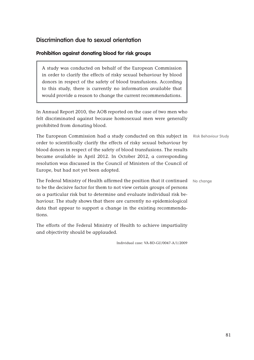# **Discrimination due to sexual orientation**

#### **Prohibition against donating blood for risk groups**

A study was conducted on behalf of the European Commission in order to clarify the effects of risky sexual behaviour by blood donors in respect of the safety of blood transfusions. According to this study, there is currently no information available that would provide a reason to change the current recommendations.

In Annual Report 2010, the AOB reported on the case of two men who felt discriminated against because homosexual men were generally prohibited from donating blood.

The European Commission had a study conducted on this subject in Risk Behaviour Study order to scientifically clarify the effects of risky sexual behaviour by blood donors in respect of the safety of blood transfusions. The results became available in April 2012. In October 2012, a corresponding resolution was discussed in the Council of Ministers of the Council of Europe, but had not yet been adopted.

The Federal Ministry of Health affirmed the position that it continued No change to be the decisive factor for them to not view certain groups of persons as a particular risk but to determine and evaluate individual risk behaviour. The study shows that there are currently no epidemiological data that appear to support a change in the existing recommendations.

The efforts of the Federal Ministry of Health to achieve impartiality and objectivity should be applauded.

Individual case: VA-BD-GU/0047-A/1/2009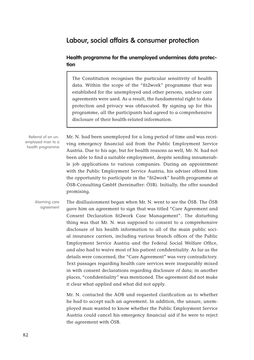# **Labour, social affairs & consumer protection**

#### **Health programme for the unemployed undermines data protection**

The Constitution recognises the particular sensitivity of health data. Within the scope of the "fit2work" programme that was established for the unemployed and other persons, unclear care agreements were used. As a result, the fundamental right to data protection and privacy was obfuscated. By signing up for this programme, all the participants had agreed to a comprehensive disclosure of their health-related information.

Referral of an unemployed man to a health programme

Mr. N. had been unemployed for a long period of time and was receiving emergency financial aid from the Public Employment Service Austria. Due to his age, but for health reasons as well, Mr. N. had not been able to find a suitable employment, despite sending innumerable job applications to various companies. During an appointment with the Public Employment Service Austria, his adviser offered him the opportunity to participate in the "fit2work" health programme at ÖSB-Consulting GmbH (hereinafter: ÖSB). Initially, the offer sounded promising.

The disillusionment began when Mr. N. went to see the ÖSB. The ÖSB gave him an agreement to sign that was titled "Care Agreement and Consent Declaration fit2work Case Management". The disturbing thing was that Mr. N. was supposed to consent to a comprehensive disclosure of his health information to all of the main public social insurance carriers, including various branch offices of the Public Employment Service Austria and the Federal Social Welfare Office, and also had to waive most of his patient confidentiality. As far as the details were concerned, the "Care Agreement" was very contradictory. Text passages regarding health care services were inseparably mixed in with consent declarations regarding disclosure of data; in another places, "confidentiality" was mentioned. The agreement did not make it clear what applied and what did not apply. Alarming care agreement

> Mr. N. contacted the AOB und requested clarification as to whether he had to accept such an agreement. In addition, the unsure, unemployed man wanted to know whether the Public Employment Service Austria could cancel his emergency financial aid if he were to reject the agreement with ÖSB.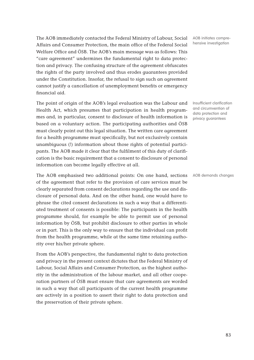The AOB immediately contacted the Federal Ministry of Labour, Social Affairs and Consumer Protection, the main office of the Federal Social Welfare Office and ÖSB. The AOB's main message was as follows: This "care agreement" undermines the fundamental right to data protection and privacy. The confusing structure of the agreement obfuscates the rights of the party involved and thus erodes guarantees provided under the Constitution. Insofar, the refusal to sign such an agreement cannot justify a cancellation of unemployment benefits or emergency financial aid.

The point of origin of the AOB's legal evaluation was the Labour and Health Act, which presumes that participation in health programmes and, in particular, consent to disclosure of health information is based on a voluntary action. The participating authorities and ÖSB must clearly point out this legal situation. The written care agreement for a health programme must specifically, but not exclusively contain unambiguous (!) information about those rights of potential participants. The AOB made it clear that the fulfilment of this duty of clarification is the basic requirement that a consent to disclosure of personal information can become legally effective at all.

The AOB emphasised two additional points: On one hand, sections AOB demands changes of the agreement that refer to the provision of care services must be clearly separated from consent declarations regarding the use and disclosure of personal data. And on the other hand, one would have to phrase the cited consent declarations in such a way that a differentiated treatment of consents is possible: The participants in the health programme should, for example be able to permit use of personal information by ÖSB, but prohibit disclosure to other parties in whole or in part. This is the only way to ensure that the individual can profit from the health programme, while at the same time retaining authority over his/her private sphere.

From the AOB's perspective, the fundamental right to data protection and privacy in the present context dictates that the Federal Ministry of Labour, Social Affairs and Consumer Protection, as the highest authority in the administration of the labour market, and all other cooperation partners of ÖSB must ensure that care agreements are worded in such a way that all participants of the current health programme are actively in a position to assert their right to data protection and the preservation of their private sphere.

AOB initiates comprehensive investigation

Insufficient clarification and circumvention of data protection and privacy guarantees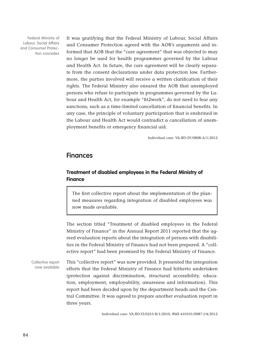Federal Ministry of Labour, Social Affairs and Consumer Protection concedes It was gratifying that the Federal Ministry of Labour, Social Affairs and Consumer Protection agreed with the AOB's arguments and informed that AOB that the "care agreement" that was objected to may no longer be used for health programmes governed by the Labour and Health Act. In future, the care agreement will be clearly separate from the consent declarations under data protection law. Furthermore, the parties involved will receive a written clarification of their rights. The Federal Ministry also ensured the AOB that unemployed persons who refuse to participate in programmes governed by the Labour and Health Act, for example "fit2work", do not need to fear any sanctions, such as a time-limited cancellation of financial benefits. In any case, the principle of voluntary participation that is enshrined in the Labour and Health Act would contradict a cancellation of unemployment benefits or emergency financial aid.

Individual case: VA-BD-SV/0808-A/1/2012

### **Finances**

#### **Treatment of disabled employees in the Federal Ministry of Finance**

The first collective report about the implementation of the planned measures regarding integration of disabled employees was now made available.

The section titled "Treatment of disabled employees in the Federal Ministry of Finance" in the Annual Report 2011 reported that the agreed evaluation reports about the integration of persons with disabilities in the Federal Ministry of Finance had not been prepared. A "collective report" had been promised by the Federal Ministry of Finance.

This "collective report" was now provided. It presented the integration efforts that the Federal Ministry of Finance had hitherto undertaken (protection against discrimination, structural accessibility, education, employment, employability, awareness and information). This report had been decided upon by the department heads and the Central Committee. It was agreed to prepare another evaluation report in three years. Collective report now available

Individual case: VA-BD-FI/0253-B/1/2010, BMF-410101/0087-I/4/2012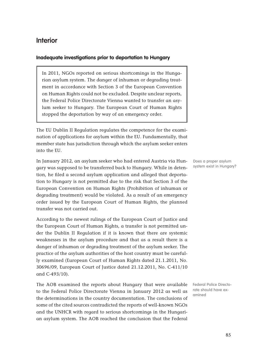# **Interior**

#### **Inadequate investigations prior to deportation to Hungary**

In 2011, NGOs reported on serious shortcomings in the Hungarian asylum system. The danger of inhuman or degrading treatment in accordance with Section 3 of the European Convention on Human Rights could not be excluded. Despite unclear reports, the Federal Police Directorate Vienna wanted to transfer an asylum seeker to Hungary. The European Court of Human Rights stopped the deportation by way of an emergency order.

The EU Dublin II Regulation regulates the competence for the examination of applications for asylum within the EU. Fundamentally, that member state has jurisdiction through which the asylum seeker enters into the EU.

In January 2012, an asylum seeker who had entered Austria via Hungary was supposed to be transferred back to Hungary. While in detention, he filed a second asylum application and alleged that deportation to Hungary is not permitted due to the risk that Section 3 of the European Convention on Human Rights (Prohibition of inhuman or degrading treatment) would be violated. As a result of an emergency order issued by the European Court of Human Rights, the planned transfer was not carried out.

According to the newest rulings of the European Court of Justice and the European Court of Human Rights, a transfer is not permitted under the Dublin II Regulation if it is known that there are systemic weaknesses in the asylum procedure and that as a result there is a danger of inhuman or degrading treatment of the asylum seeker. The practice of the asylum authorities of the host country must be carefully examined (European Court of Human Rights dated 21.1.2011, No. 30696/09, European Court of Justice dated 21.12.2011, No. C-411/10 and C-493/10).

The AOB examined the reports about Hungary that were available to the Federal Police Directorate Vienna in January 2012 as well as the determinations in the country documentation. The conclusions of some of the cited sources contradicted the reports of well-known NGOs and the UNHCR with regard to serious shortcomings in the Hungarian asylum system. The AOB reached the conclusion that the Federal

Does a proper asylum system exist in Hungary?

Federal Police Directorate should have examined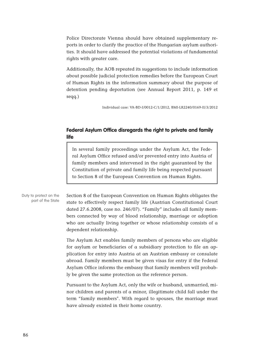Police Directorate Vienna should have obtained supplementary reports in order to clarify the practice of the Hungarian asylum authorities. It should have addressed the potential violations of fundamental rights with greater care.

Additionally, the AOB repeated its suggestions to include information about possible judicial protection remedies before the European Court of Human Rights in the information summary about the purpose of detention pending deportation (see Annual Report 2011, p. 149 et seqq.)

Individual case: VA-BD-I/0012-C/1/2012, BMI-LR2240/0169-II/3/2012

#### **Federal Asylum Office disregards the right to private and family life**

In several family proceedings under the Asylum Act, the Federal Asylum Office refused and/or prevented entry into Austria of family members and intervened in the right guaranteed by the Constitution of private and family life being respected pursuant to Section 8 of the European Convention on Human Rights.

Duty to protect on the part of the State

Section 8 of the European Convention on Human Rights obligates the state to effectively respect family life (Austrian Constitutional Court dated 27.6.2008, case no. 246/07). "Family" includes all family members connected by way of blood relationship, marriage or adoption who are actually living together or whose relationship consists of a dependent relationship.

The Asylum Act enables family members of persons who are eligible for asylum or beneficiaries of a subsidiary protection to file an application for entry into Austria at an Austrian embassy or consulate abroad. Family members must be given visas for entry if the Federal Asylum Office informs the embassy that family members will probably be given the same protection as the reference person.

Pursuant to the Asylum Act, only the wife or husband, unmarried, minor children and parents of a minor, illegitimate child fall under the term "family members". With regard to spouses, the marriage must have already existed in their home country.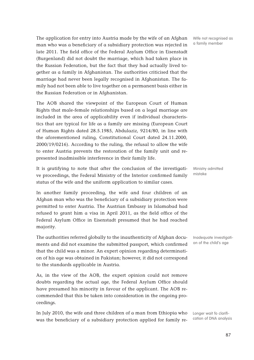The application for entry into Austria made by the wife of an Afghan man who was a beneficiary of a subsidiary protection was rejected in late 2011. The field office of the Federal Asylum Office in Eisenstadt (Burgenland) did not doubt the marriage, which had taken place in the Russian Federation, but the fact that they had actually lived together as a family in Afghanistan. The authorities criticised that the marriage had never been legally recognised in Afghanistan. The family had not been able to live together on a permanent basis either in the Russian Federation or in Afghanistan.

The AOB shared the viewpoint of the European Court of Human Rights that male-female relationships based on a legal marriage are included in the area of applicability even if individual characteristics that are typical for life as a family are missing (European Court of Human Rights dated 28.5.1985, Abdulaziz, 9214/80, in line with the aforementioned ruling, Constitutional Court dated 24.11.2000, 2000/19/0216). According to the ruling, the refusal to allow the wife to enter Austria prevents the restoration of the family unit and represented inadmissible interference in their family life.

It is gratifying to note that after the conclusion of the investigative proceedings, the Federal Ministry of the Interior confirmed family status of the wife and the uniform application to similar cases.

In another family proceeding, the wife and four children of an Afghan man who was the beneficiary of a subsidiary protection were permitted to enter Austria. The Austrian Embassy in Islamabad had refused to grant him a visa in April 2011, as the field office of the Federal Asylum Office in Eisenstadt presumed that he had reached majority.

The authorities referred globally to the inauthenticity of Afghan documents and did not examine the submitted passport, which confirmed that the child was a minor. An expert opinion regarding determination of his age was obtained in Pakistan; however, it did not correspond to the standards applicable in Austria.

As, in the view of the AOB, the expert opinion could not remove doubts regarding the actual age, the Federal Asylum Office should have presumed his minority in favour of the applicant. The AOB recommended that this be taken into consideration in the ongoing proceedings.

In July 2010, the wife and three children of a man from Ethiopia who was the beneficiary of a subsidiary protection applied for family re-

Wife not recognised as a family member

Ministry admitted mistake

Inadequate investigation of the child's age

Longer wait fo clarification of DNA analysis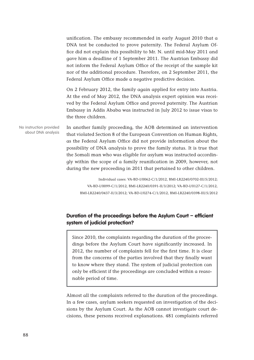unification. The embassy recommended in early August 2010 that a DNA test be conducted to prove paternity. The Federal Asylum Office did not explain this possibility to Mr. N. until mid-May 2011 and gave him a deadline of 1 September 2011. The Austrian Embassy did not inform the Federal Asylum Office of the receipt of the sample kit nor of the additional procedure. Therefore, on 2 September 2011, the Federal Asylum Office made a negative predictive decision.

On 2 February 2012, the family again applied for entry into Austria. At the end of May 2012, the DNA analysis expert opinion was received by the Federal Asylum Office and proved paternity. The Austrian Embassy in Addis Ababa was instructed in July 2012 to issue visas to the three children.

In another family proceeding, the AOB determined an intervention that violated Section 8 of the European Convention on Human Rights, as the Federal Asylum Office did not provide information about the possibility of DNA analysis to prove the family status. It is true that the Somali man who was eligible for asylum was instructed accordingly within the scope of a family reunification in 2009, however, not during the new proceeding in 2011 that pertained to other children. No instruction provided about DNA analysis

> Individual cases: VA-BD-I/0062-C/1/2012, BMI-LR2240/0702-III/5/2012; VA-BD-I/0099-C/1/2012, BMI-LR2240/0391-II/3/2012; VA-BD-I/0127-C/1/2012, BMI-LR2240/0437-II/3/2012; VA-BD-I/0274-C/1/2012, BMI-LR2240/0398-III/5/2012

#### **Duration of the proceedings before the Asylum Court – efficient system of judicial protection?**

Since 2010, the complaints regarding the duration of the proceedings before the Asylum Court have significantly increased. In 2012, the number of complaints fell for the first time. It is clear from the concerns of the parties involved that they finally want to know where they stand. The system of judicial protection can only be efficient if the proceedings are concluded within a reasonable period of time.

Almost all the complaints referred to the duration of the proceedings. In a few cases, asylum seekers requested an investigation of the decisions by the Asylum Court. As the AOB cannot investigate court decisions, these persons received explanations. 481 complaints referred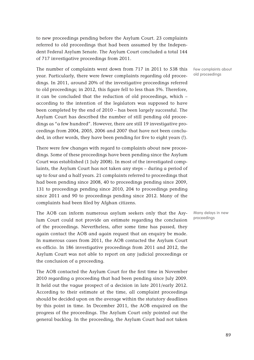to new proceedings pending before the Asylum Court. 23 complaints referred to old proceedings that had been assumed by the Independent Federal Asylum Senate. The Asylum Court concluded a total 144 of 717 investigative proceedings from 2011.

The number of complaints went down from 717 in 2011 to 538 this year. Particularly, there were fewer complaints regarding old proceedings. In 2011, around 20% of the investigative proceedings referred to old proceedings; in 2012, this figure fell to less than 5%. Therefore, it can be concluded that the reduction of old proceedings, which – according to the intention of the legislators was supposed to have been completed by the end of 2010 – has been largely successful. The Asylum Court has described the number of still pending old proceedings as "a few hundred". However, there are still 19 investigative proceedings from 2004, 2005, 2006 and 2007 that have not been concluded, in other words, they have been pending for five to eight years (!).

There were few changes with regard to complaints about new proceedings. Some of these proceedings have been pending since the Asylum Court was established (1 July 2008). In most of the investigated complaints, the Asylum Court has not taken any steps – during a period of up to four and a half years. 21 complaints referred to proceedings that had been pending since 2008, 40 to proceedings pending since 2009, 131 to proceedings pending since 2010, 204 to proceedings pending since 2011 and 90 to proceedings pending since 2012. Many of the complaints had been filed by Afghan citizens.

The AOB can inform numerous asylum seekers only that the Asylum Court could not provide an estimate regarding the conclusion of the proceedings. Nevertheless, after some time has passed, they again contact the AOB and again request that an enquiry be made. In numerous cases from 2011, the AOB contacted the Asylum Court ex-officio. In 186 investigative proceedings from 2011 and 2012, the Asylum Court was not able to report on any judicial proceedings or the conclusion of a proceeding.

The AOB contacted the Asylum Court for the first time in November 2010 regarding a proceeding that had been pending since July 2009. It held out the vague prospect of a decision in late 2011/early 2012. According to their estimate at the time, all complaint proceedings should be decided upon on the average within the statutory deadlines by this point in time. In December 2011, the AOB enquired on the progress of the proceedings. The Asylum Court only pointed out the general backlog. In the proceeding, the Asylum Court had not taken

Few complaints about old proceedings

Many delays in new proceedings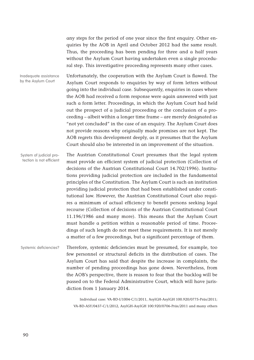any steps for the period of one year since the first enquiry. Other enquiries by the AOB in April and October 2012 had the same result. Thus, the proceeding has been pending for three and a half years without the Asylum Court having undertaken even a single procedural step. This investigative proceeding represents many other cases.

Unfortunately, the cooperation with the Asylum Court is flawed. The Asylum Court responds to enquiries by way of form letters without going into the individual case. Subsequently, enquiries in cases where the AOB had received a form response were again answered with just such a form letter. Proceedings, in which the Asylum Court had held out the prospect of a judicial proceeding or the conclusion of a proceeding – albeit within a longer time frame – are merely designated as "not yet concluded" in the case of an enquiry. The Asylum Court does not provide reasons why originally made promises are not kept. The AOB regrets this development deeply, as it presumes that the Asylum Court should also be interested in an improvement of the situation. Inadequate assistance by the Asylum Court

The Austrian Constitutional Court presumes that the legal system must provide an efficient system of judicial protection (Collection of decisions of the Austrian Constitutional Court 14.702/1996). Institutions providing judicial protection are included in the fundamental principles of the Constitution. The Asylum Court is such an institution providing judicial protection that had been established under constitutional law. However, the Austrian Constitutional Court also requires a minimum of actual efficiency to benefit persons seeking legal recourse (Collection of decisions of the Austrian Constitutional Court 11.196/1986 and many more). This means that the Asylum Court must handle a petition within a reasonable period of time. Proceedings of such length do not meet these requirements. It is not merely a matter of a few proceedings, but a significant percentage of them. System of judicial protection is not efficient

Therefore, systemic deficiencies must be presumed, for example, too few personnel or structural deficits in the distribution of cases. The Asylum Court has said that despite the increase in complaints, the number of pending proceedings has gone down. Nevertheless, from the AOB's perspective, there is reason to fear that the backlog will be passed on to the Federal Administrative Court, which will have jurisdiction from 1 January 2014. Systemic deficiencies?

> Individual case: VA-BD-I/1004-C/1/2011, AsylGH-AsylGH 100.920/0775-Präs/2011; VA-BD-ASY/0437-C/1/2012, AsylGH-AsylGH 100.920/0706-Präs/2011 and many others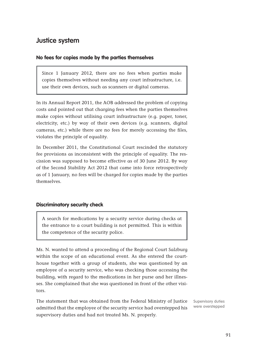# **Justice system**

#### **No fees for copies made by the parties themselves**

Since 1 January 2012, there are no fees when parties make copies themselves without needing any court infrastructure, i.e. use their own devices, such as scanners or digital cameras.

In its Annual Report 2011, the AOB addressed the problem of copying costs and pointed out that charging fees when the parties themselves make copies without utilising court infrastructure (e.g. paper, toner, electricity, etc.) by way of their own devices (e.g. scanners, digital cameras, etc.) while there are no fees for merely accessing the files, violates the principle of equality.

In December 2011, the Constitutional Court rescinded the statutory fee provisions as inconsistent with the principle of equality. The rescission was supposed to become effective as of 30 June 2012. By way of the Second Stability Act 2012 that came into force retrospectively as of 1 January, no fees will be charged for copies made by the parties themselves.

#### **Discriminatory security check**

A search for medications by a security service during checks at the entrance to a court building is not permitted. This is within the competence of the security police.

Ms. N. wanted to attend a proceeding of the Regional Court Salzburg within the scope of an educational event. As she entered the courthouse together with a group of students, she was questioned by an employee of a security service, who was checking those accessing the building, with regard to the medications in her purse and her illnesses. She complained that she was questioned in front of the other visitors.

The statement that was obtained from the Federal Ministry of Justice admitted that the employee of the security service had overstepped his supervisory duties and had not treated Ms. N. properly.

Supervisory duties were overstepped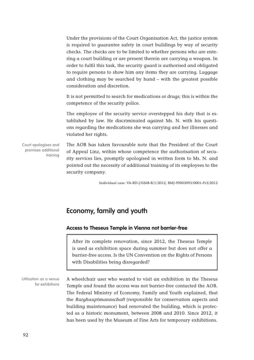Under the provisions of the Court Organisation Act, the justice system is required to guarantee safety in court buildings by way of security checks. The checks are to be limited to whether persons who are entering a court building or are present therein are carrying a weapon. In order to fulfil this task, the security guard is authorised and obligated to require persons to show him any items they are carrying. Luggage and clothing may be searched by hand – with the greatest possible consideration and discretion.

It is not permitted to search for medications or drugs; this is within the competence of the security police.

The employee of the security service overstepped his duty that is established by law. He discriminated against Ms. N. with his questions regarding the medications she was carrying and her illnesses and violated her rights.

Court apologises and promises additional training

The AOB has taken favourable note that the President of the Court of Appeal Linz, within whose competence the authorisation of security services lies, promptly apologised in written form to Ms. N. and pointed out the necessity of additional training of its employees to the security company.

Individual case: VA-BD-J/0268-B/1/2012, BMJ-99003093/0001-Pr3/2012

# **Economy, family and youth**

#### **Access to Theseus Temple in Vienna not barrier-free**

After its complete renovation, since 2012, the Theseus Temple is used as exhibition space during summer but does not offer a barrier-free access. Is the UN Convention on the Rights of Persons with Disabilities being disregarded?

A wheelchair user who wanted to visit an exhibition in the Theseus Temple and found the access was not barrier-free contacted the AOB. The Federal Ministry of Economy, Family and Youth explained, that the Burghauptmannschaft (responsible for conservation aspects and building maintenance) had renovated the building, which is protected as a historic monument, between 2008 and 2010. Since 2012, it has been used by the Museum of Fine Arts for temporary exhibitions. Utilisation as a venue for exhibitions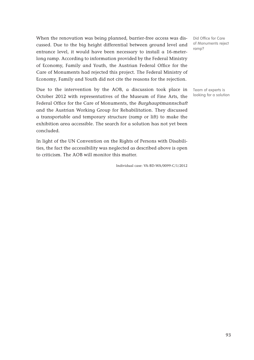When the renovation was being planned, barrier-free access was discussed. Due to the big height differential between ground level and entrance level, it would have been necessary to install a 16-meterlong ramp. According to information provided by the Federal Ministry of Economy, Family and Youth, the Austrian Federal Office for the Care of Monuments had rejected this project. The Federal Ministry of Economy, Family and Youth did not cite the reasons for the rejection.

Due to the intervention by the AOB, a discussion took place in October 2012 with representatives of the Museum of Fine Arts, the Federal Office for the Care of Monuments, the Burghauptmannschaft and the Austrian Working Group for Rehabilitation. They discussed a transportable and temporary structure (ramp or lift) to make the exhibition area accessible. The search for a solution has not yet been concluded.

In light of the UN Convention on the Rights of Persons with Disabilities, the fact the accessibility was neglected as described above is open to criticism. The AOB will monitor this matter.

Individual case: VA-BD-WA/0099-C/1/2012

Did Office for Care of Monuments reject ramp?

Team of experts is looking for a solution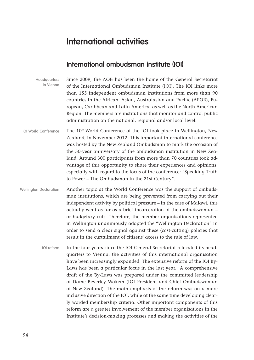# **International activities**

# **International ombudsman institute (IOI)**

| Headquarters<br>in Vienna     | Since 2009, the AOB has been the home of the General Secretariat<br>of the International Ombudsman Institute (IOI). The IOI links more<br>than 155 independent ombudsman institutions from more than 90<br>countries in the African, Asian, Australasian and Pacific (APOR), Eu-<br>ropean, Caribbean and Latin America, as well as the North American<br>Region. The members are institutions that monitor and control public<br>administration on the national, regional and/or local level.                                                                        |
|-------------------------------|-----------------------------------------------------------------------------------------------------------------------------------------------------------------------------------------------------------------------------------------------------------------------------------------------------------------------------------------------------------------------------------------------------------------------------------------------------------------------------------------------------------------------------------------------------------------------|
| <b>IOI World Conference</b>   | The 10 <sup>th</sup> World Conference of the IOI took place in Wellington, New<br>Zealand, in November 2012. This important international conference<br>was hosted by the New Zealand Ombudsman to mark the occasion of<br>the 50-year anniversary of the ombudsman institution in New Zea-<br>land. Around 300 participants from more than 70 countries took ad-<br>vantage of this opportunity to share their experiences and opinions,<br>especially with regard to the focus of the conference: "Speaking Truth<br>to Power - The Ombudsman in the 21st Century". |
| <b>Wellington Declaration</b> | Another topic at the World Conference was the support of ombuds-<br>man institutions, which are being prevented from carrying out their<br>independent activity by political pressure - in the case of Malawi, this<br>actually went as far as a brief incarceration of the ombudswoman -<br>or budgetary cuts. Therefore, the member organisations represented<br>in Wellington unanimously adopted the "Wellington Declaration" in                                                                                                                                  |

In the four years since the IOI General Secretariat relocated its headquarters to Vienna, the activities of this international organisation have been increasingly expanded. The extensive reform of the IOI By-Laws has been a particular focus in the last year. A comprehensive draft of the By-Laws was prepared under the committed leadership of Dame Beverley Wakem (IOI President and Chief Ombudswoman of New Zealand). The main emphasis of the reform was on a more inclusive direction of the IOI, while at the same time developing clearly worded membership criteria. Other important components of this reform are a greater involvement of the member organisations in the Institute's decision-making processes and making the activities of the IOI reform

order to send a clear signal against these (cost-cutting) policies that

result in the curtailment of citizens' access to the rule of law.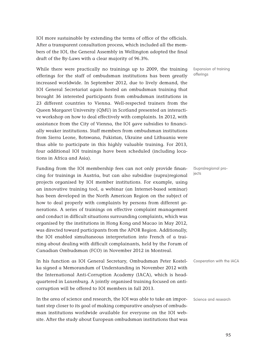IOI more sustainable by extending the terms of office of the officials. After a transparent consultation process, which included all the members of the IOI, the General Assembly in Wellington adopted the final draft of the By-Laws with a clear majority of 96.3%.

While there were practically no trainings up to 2009, the training offerings for the staff of ombudsman institutions has been greatly increased worldwide. In September 2012, due to lively demand, the IOI General Secretariat again hosted an ombudsman training that brought 36 interested participants from ombudsman institutions in 23 different countries to Vienna. Well-respected trainers from the Queen Margaret University (QMU) in Scotland presented an interactive workshop on how to deal effectively with complaints. In 2012, with assistance from the City of Vienna, the IOI gave subsidies to financially weaker institutions. Staff members from ombudsman institutions from Sierra Leone, Botswana, Pakistan, Ukraine and Lithuania were thus able to participate in this highly valuable training. For 2013, four additional IOI trainings have been scheduled (including locations in Africa and Asia).

Funding from the IOI membership fees can not only provide financing for trainings in Austria, but can also subsidise (supra)regional projects organised by IOI member institutions. For example, using an innovative training tool, a webinar (an Internet-based seminar) has been developed in the North American Region on the subject of how to deal properly with complaints by persons from different generations. A series of trainings on effective complaint management and conduct in difficult situations surrounding complaints, which was organised by the institutions in Hong Kong and Macao in May 2012, was directed toward participants from the APOR Region. Additionally, the IOI enabled simultaneous interpretation into French of a training about dealing with difficult complainants, held by the Forum of Canadian Ombudsman (FCO) in November 2012 in Montreal.

In his function as IOI General Secretary, Ombudsman Peter Kostelka signed a Memorandum of Understanding in November 2012 with the International Anti-Corruption Academy (IACA), which is headquartered in Laxenburg. A jointly organised training focused on anticorruption will be offered to IOI members in fall 2013.

In the area of science and research, the IOI was able to take an important step closer to its goal of making comparative analyses of ombudsman institutions worldwide available for everyone on the IOI website. After the study about European ombudsman institutions that was

Expansion of training offerings

(Supra)regional projects

Cooperation with the IACA

Science and research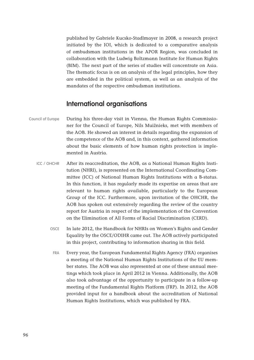published by Gabriele Kucsko-Stadlmayer in 2008, a research project initiated by the IOI, which is dedicated to a comparative analysis of ombudsman institutions in the APOR Region, was concluded in collaboration with the Ludwig Boltzmann Institute for Human Rights (BIM). The next part of the series of studies will concentrate on Asia. The thematic focus is on an analysis of the legal principles, how they are embedded in the political system, as well as an analysis of the mandates of the respective ombudsman institutions.

# **International organisations**

- During his three-day visit in Vienna, the Human Rights Commissioner for the Council of Europe, Nils Muižnieks, met with members of the AOB. He showed an interest in details regarding the expansion of the competence of the AOB and, in this context, gathered information about the basic elements of how human rights protection is implemented in Austria. Council of Europe
	- After its reaccreditation, the AOB, as a National Human Rights Institution (NHRI), is represented on the International Coordinating Committee (ICC) of National Human Rights Institutions with a B-status. In this function, it has regularly made its expertise on areas that are relevant to human rights available, particularly to the European Group of the ICC. Furthermore, upon invitation of the OHCHR, the AOB has spoken out extensively regarding the review of the country report for Austria in respect of the implementation of the Convention on the Elimination of All Forms of Racial Discrimination (CERD). ICC / OHCHR
		- In late 2012, the Handbook for NHRIs on Women's Rights and Gender Equality by the OSCE/ODIHR came out. The AOB actively participated in this project, contributing to information sharing in this field. OSCE
		- Every year, the European Fundamental Rights Agency (FRA) organises a meeting of the National Human Rights Institutions of the EU member states. The AOB was also represented at one of these annual meetings which took place in April 2012 in Vienna. Additionally, the AOB also took advantage of the opportunity to participate in a follow-up meeting of the Fundamental Rights Platform (FRP). In 2012, the AOB provided input for a handbook about the accreditation of National Human Rights Institutions, which was published by FRA. FRA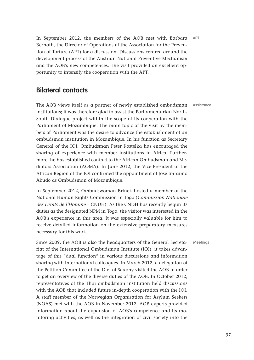In September 2012, the members of the AOB met with Barbara APT Bernath, the Director of Operations of the Association for the Prevention of Torture (APT) for a discussion. Discussions centred around the development process of the Austrian National Preventive Mechanism and the AOB's new competences. The visit provided an excellent opportunity to intensify the cooperation with the APT.

# **Bilateral contacts**

The AOB views itself as a partner of newly established ombudsman Assistance institutions; it was therefore glad to assist the Parliamentarian North-South Dialogue project within the scope of its cooperation with the Parliament of Mozambique. The main topic of the visit by the members of Parliament was the desire to advance the establishment of an ombudsman institution in Mozambique. In his function as Secretary General of the IOI, Ombudsman Peter Kostelka has encouraged the sharing of experience with member institutions in Africa. Furthermore, he has established contact to the African Ombudsman and Mediators Association (AOMA). In June 2012, the Vice-President of the African Region of the IOI confirmed the appointment of José Imraimo Abudo as Ombudsman of Mozambique.

In September 2012, Ombudswoman Brinek hosted a member of the National Human Rights Commission in Togo (Commission Nationale des Droits de l'Homme – CNDH). As the CNDH has recently begun its duties as the designated NPM in Togo, the visitor was interested in the AOB's experience in this area. It was especially valuable for him to receive detailed information on the extensive preparatory measures necessary for this work.

Since 2009, the AOB is also the headquarters of the General Secretariat of the International Ombudsman Institute (IOI); it takes advantage of this "dual function" in various discussions and information sharing with international colleagues. In March 2012, a delegation of the Petition Committee of the Diet of Saxony visited the AOB in order to get an overview of the diverse duties of the AOB. In October 2012, representatives of the Thai ombudsman institution held discussions with the AOB that included future in-depth cooperation with the IOI. A staff member of the Norwegian Organisation for Asylum Seekers (NOAS) met with the AOB in November 2012. AOB experts provided information about the expansion of AOB's competence and its monitoring activities, as well as the integration of civil society into the

**Meetings**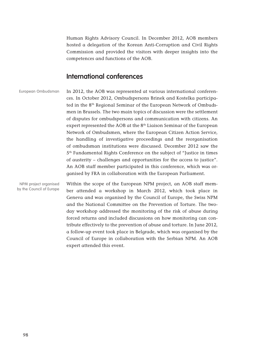Human Rights Advisory Council. In December 2012, AOB members hosted a delegation of the Korean Anti-Corruption and Civil Rights Commission and provided the visitors with deeper insights into the competences and functions of the AOB.

## **International conferences**

In 2012, the AOB was represented at various international conferences. In October 2012, Ombudspersons Brinek and Kostelka participated in the 8<sup>th</sup> Regional Seminar of the European Network of Ombudsmen in Brussels. The two main topics of discussion were the settlement of disputes for ombudspersons and communication with citizens. An expert represented the AOB at the 8<sup>th</sup> Liaison Seminar of the European Network of Ombudsmen, where the European Citizen Action Service, the handling of investigative proceedings and the reorganisation of ombudsman institutions were discussed. December 2012 saw the 5th Fundamental Rights Conference on the subject of "Justice in times of austerity – challenges and opportunities for the access to justice". An AOB staff member participated in this conference, which was organised by FRA in collaboration with the European Parliament. European Ombudsman

Within the scope of the European NPM project, an AOB staff member attended a workshop in March 2012, which took place in Geneva and was organised by the Council of Europe, the Swiss NPM and the National Committee on the Prevention of Torture. The twoday workshop addressed the monitoring of the risk of abuse during forced returns and included discussions on how monitoring can contribute effectively to the prevention of abuse and torture. In June 2012, a follow-up event took place in Belgrade, which was organised by the Council of Europe in collaboration with the Serbian NPM. An AOB expert attended this event. NPM project organised by the Council of Europe